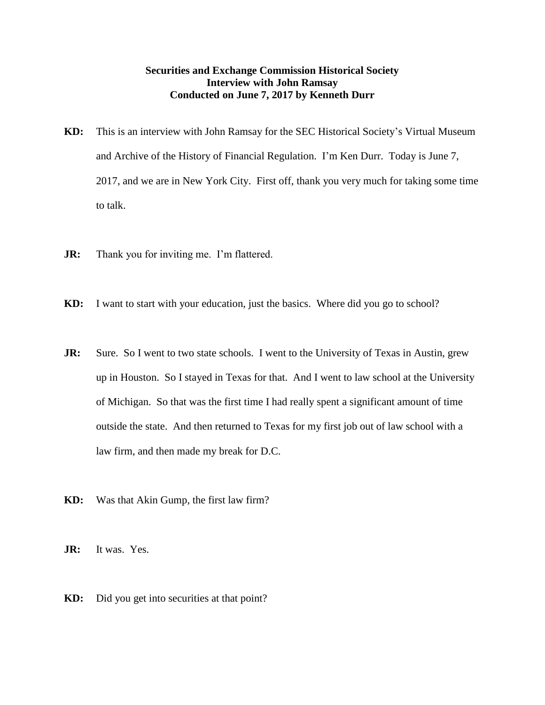## **Securities and Exchange Commission Historical Society Interview with John Ramsay Conducted on June 7, 2017 by Kenneth Durr**

- **KD:** This is an interview with John Ramsay for the SEC Historical Society's Virtual Museum and Archive of the History of Financial Regulation. I'm Ken Durr. Today is June 7, 2017, and we are in New York City. First off, thank you very much for taking some time to talk.
- **JR:** Thank you for inviting me. I'm flattered.
- **KD:** I want to start with your education, just the basics. Where did you go to school?
- **JR:** Sure. So I went to two state schools. I went to the University of Texas in Austin, grew up in Houston. So I stayed in Texas for that. And I went to law school at the University of Michigan. So that was the first time I had really spent a significant amount of time outside the state. And then returned to Texas for my first job out of law school with a law firm, and then made my break for D.C.
- **KD:** Was that Akin Gump, the first law firm?

**JR:** It was. Yes.

**KD:** Did you get into securities at that point?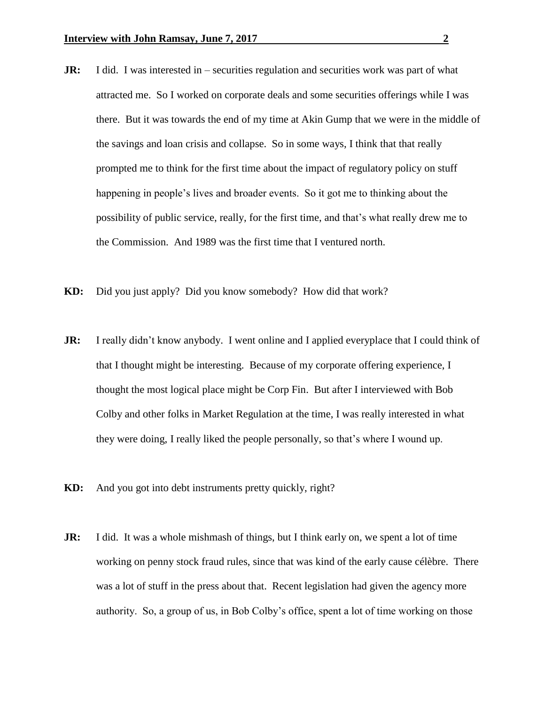- **JR:** I did. I was interested in securities regulation and securities work was part of what attracted me. So I worked on corporate deals and some securities offerings while I was there. But it was towards the end of my time at Akin Gump that we were in the middle of the savings and loan crisis and collapse. So in some ways, I think that that really prompted me to think for the first time about the impact of regulatory policy on stuff happening in people's lives and broader events. So it got me to thinking about the possibility of public service, really, for the first time, and that's what really drew me to the Commission. And 1989 was the first time that I ventured north.
- **KD:** Did you just apply? Did you know somebody? How did that work?
- **JR:** I really didn't know anybody. I went online and I applied everyplace that I could think of that I thought might be interesting. Because of my corporate offering experience, I thought the most logical place might be Corp Fin. But after I interviewed with Bob Colby and other folks in Market Regulation at the time, I was really interested in what they were doing, I really liked the people personally, so that's where I wound up.
- **KD:** And you got into debt instruments pretty quickly, right?
- **JR:** I did. It was a whole mishmash of things, but I think early on, we spent a lot of time working on penny stock fraud rules, since that was kind of the early cause célèbre. There was a lot of stuff in the press about that. Recent legislation had given the agency more authority. So, a group of us, in Bob Colby's office, spent a lot of time working on those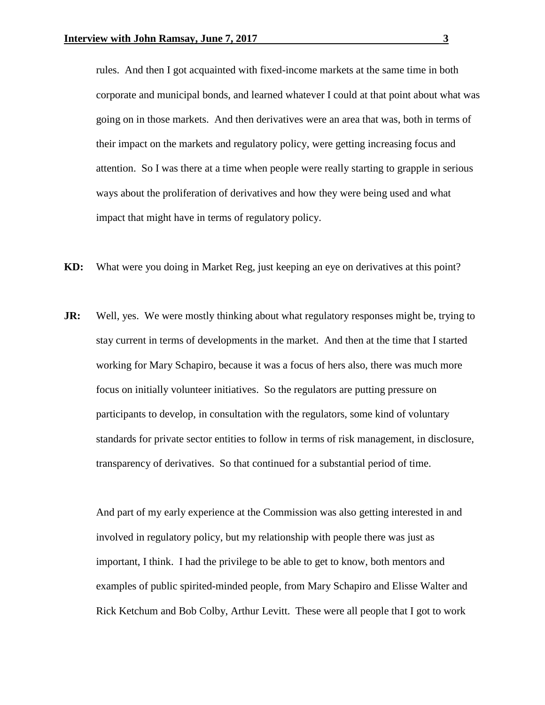rules. And then I got acquainted with fixed-income markets at the same time in both corporate and municipal bonds, and learned whatever I could at that point about what was going on in those markets. And then derivatives were an area that was, both in terms of their impact on the markets and regulatory policy, were getting increasing focus and attention. So I was there at a time when people were really starting to grapple in serious ways about the proliferation of derivatives and how they were being used and what impact that might have in terms of regulatory policy.

- **KD:** What were you doing in Market Reg, just keeping an eye on derivatives at this point?
- **JR:** Well, yes. We were mostly thinking about what regulatory responses might be, trying to stay current in terms of developments in the market. And then at the time that I started working for Mary Schapiro, because it was a focus of hers also, there was much more focus on initially volunteer initiatives. So the regulators are putting pressure on participants to develop, in consultation with the regulators, some kind of voluntary standards for private sector entities to follow in terms of risk management, in disclosure, transparency of derivatives. So that continued for a substantial period of time.

And part of my early experience at the Commission was also getting interested in and involved in regulatory policy, but my relationship with people there was just as important, I think. I had the privilege to be able to get to know, both mentors and examples of public spirited-minded people, from Mary Schapiro and Elisse Walter and Rick Ketchum and Bob Colby, Arthur Levitt. These were all people that I got to work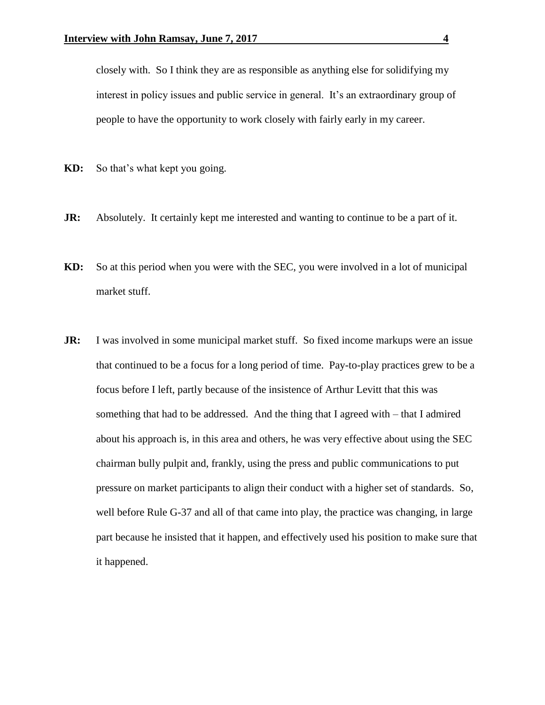closely with. So I think they are as responsible as anything else for solidifying my interest in policy issues and public service in general. It's an extraordinary group of people to have the opportunity to work closely with fairly early in my career.

- **KD:** So that's what kept you going.
- **JR:** Absolutely. It certainly kept me interested and wanting to continue to be a part of it.
- **KD:** So at this period when you were with the SEC, you were involved in a lot of municipal market stuff.
- **JR:** I was involved in some municipal market stuff. So fixed income markups were an issue that continued to be a focus for a long period of time. Pay-to-play practices grew to be a focus before I left, partly because of the insistence of Arthur Levitt that this was something that had to be addressed. And the thing that I agreed with – that I admired about his approach is, in this area and others, he was very effective about using the SEC chairman bully pulpit and, frankly, using the press and public communications to put pressure on market participants to align their conduct with a higher set of standards. So, well before Rule G-37 and all of that came into play, the practice was changing, in large part because he insisted that it happen, and effectively used his position to make sure that it happened.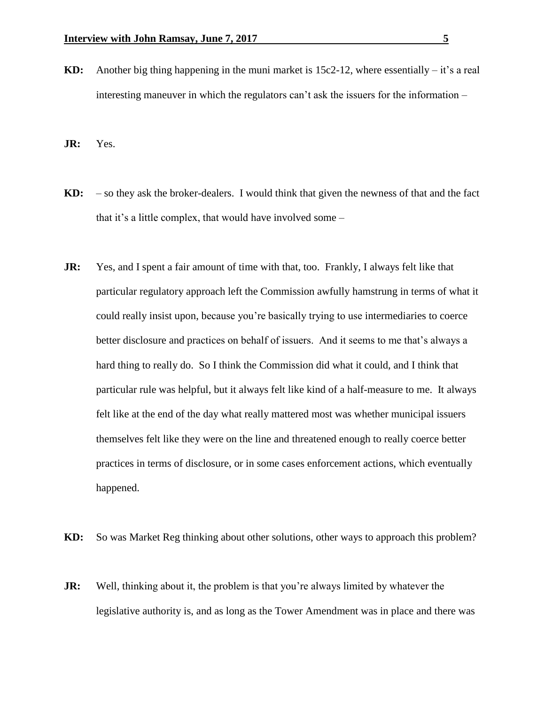**KD:** Another big thing happening in the muni market is 15c2-12, where essentially – it's a real interesting maneuver in which the regulators can't ask the issuers for the information –

**JR:** Yes.

- **KD:** so they ask the broker-dealers. I would think that given the newness of that and the fact that it's a little complex, that would have involved some –
- **JR:** Yes, and I spent a fair amount of time with that, too. Frankly, I always felt like that particular regulatory approach left the Commission awfully hamstrung in terms of what it could really insist upon, because you're basically trying to use intermediaries to coerce better disclosure and practices on behalf of issuers. And it seems to me that's always a hard thing to really do. So I think the Commission did what it could, and I think that particular rule was helpful, but it always felt like kind of a half-measure to me. It always felt like at the end of the day what really mattered most was whether municipal issuers themselves felt like they were on the line and threatened enough to really coerce better practices in terms of disclosure, or in some cases enforcement actions, which eventually happened.

**KD:** So was Market Reg thinking about other solutions, other ways to approach this problem?

**JR:** Well, thinking about it, the problem is that you're always limited by whatever the legislative authority is, and as long as the Tower Amendment was in place and there was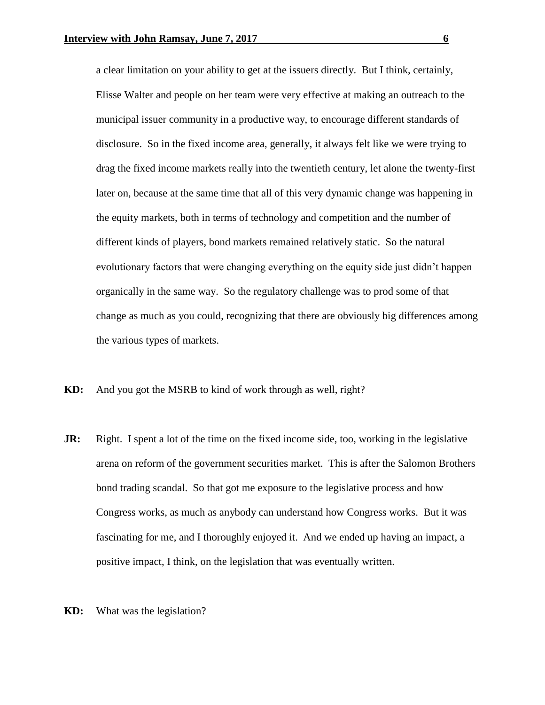a clear limitation on your ability to get at the issuers directly. But I think, certainly, Elisse Walter and people on her team were very effective at making an outreach to the municipal issuer community in a productive way, to encourage different standards of disclosure. So in the fixed income area, generally, it always felt like we were trying to drag the fixed income markets really into the twentieth century, let alone the twenty-first later on, because at the same time that all of this very dynamic change was happening in the equity markets, both in terms of technology and competition and the number of different kinds of players, bond markets remained relatively static. So the natural evolutionary factors that were changing everything on the equity side just didn't happen organically in the same way. So the regulatory challenge was to prod some of that change as much as you could, recognizing that there are obviously big differences among the various types of markets.

- **KD:** And you got the MSRB to kind of work through as well, right?
- **JR:** Right. I spent a lot of the time on the fixed income side, too, working in the legislative arena on reform of the government securities market. This is after the Salomon Brothers bond trading scandal. So that got me exposure to the legislative process and how Congress works, as much as anybody can understand how Congress works. But it was fascinating for me, and I thoroughly enjoyed it. And we ended up having an impact, a positive impact, I think, on the legislation that was eventually written.
- **KD:** What was the legislation?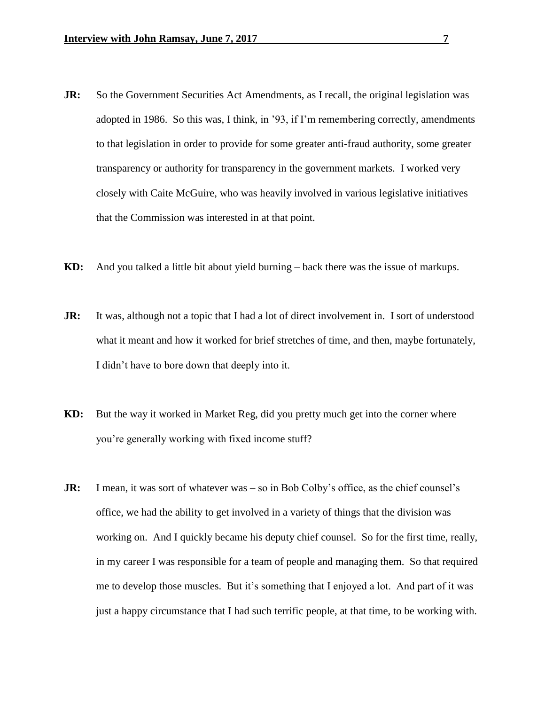- **JR:** So the Government Securities Act Amendments, as I recall, the original legislation was adopted in 1986. So this was, I think, in '93, if I'm remembering correctly, amendments to that legislation in order to provide for some greater anti-fraud authority, some greater transparency or authority for transparency in the government markets. I worked very closely with Caite McGuire, who was heavily involved in various legislative initiatives that the Commission was interested in at that point.
- **KD:** And you talked a little bit about yield burning back there was the issue of markups.
- **JR:** It was, although not a topic that I had a lot of direct involvement in. I sort of understood what it meant and how it worked for brief stretches of time, and then, maybe fortunately, I didn't have to bore down that deeply into it.
- **KD:** But the way it worked in Market Reg, did you pretty much get into the corner where you're generally working with fixed income stuff?
- **JR:** I mean, it was sort of whatever was so in Bob Colby's office, as the chief counsel's office, we had the ability to get involved in a variety of things that the division was working on. And I quickly became his deputy chief counsel. So for the first time, really, in my career I was responsible for a team of people and managing them. So that required me to develop those muscles. But it's something that I enjoyed a lot. And part of it was just a happy circumstance that I had such terrific people, at that time, to be working with.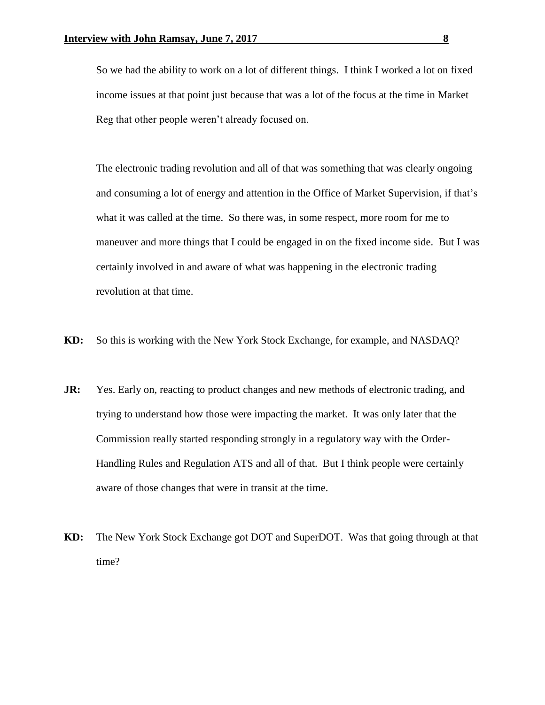So we had the ability to work on a lot of different things. I think I worked a lot on fixed income issues at that point just because that was a lot of the focus at the time in Market Reg that other people weren't already focused on.

The electronic trading revolution and all of that was something that was clearly ongoing and consuming a lot of energy and attention in the Office of Market Supervision, if that's what it was called at the time. So there was, in some respect, more room for me to maneuver and more things that I could be engaged in on the fixed income side. But I was certainly involved in and aware of what was happening in the electronic trading revolution at that time.

- **KD:** So this is working with the New York Stock Exchange, for example, and NASDAQ?
- **JR:** Yes. Early on, reacting to product changes and new methods of electronic trading, and trying to understand how those were impacting the market. It was only later that the Commission really started responding strongly in a regulatory way with the Order-Handling Rules and Regulation ATS and all of that. But I think people were certainly aware of those changes that were in transit at the time.
- **KD:** The New York Stock Exchange got DOT and SuperDOT. Was that going through at that time?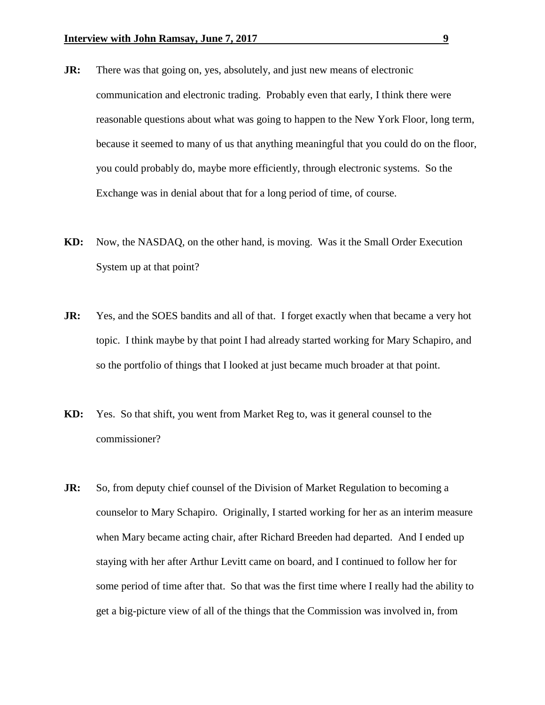- **JR:** There was that going on, yes, absolutely, and just new means of electronic communication and electronic trading. Probably even that early, I think there were reasonable questions about what was going to happen to the New York Floor, long term, because it seemed to many of us that anything meaningful that you could do on the floor, you could probably do, maybe more efficiently, through electronic systems. So the Exchange was in denial about that for a long period of time, of course.
- **KD:** Now, the NASDAQ, on the other hand, is moving. Was it the Small Order Execution System up at that point?
- **JR:** Yes, and the SOES bandits and all of that. I forget exactly when that became a very hot topic. I think maybe by that point I had already started working for Mary Schapiro, and so the portfolio of things that I looked at just became much broader at that point.
- **KD:** Yes. So that shift, you went from Market Reg to, was it general counsel to the commissioner?
- **JR:** So, from deputy chief counsel of the Division of Market Regulation to becoming a counselor to Mary Schapiro. Originally, I started working for her as an interim measure when Mary became acting chair, after Richard Breeden had departed. And I ended up staying with her after Arthur Levitt came on board, and I continued to follow her for some period of time after that. So that was the first time where I really had the ability to get a big-picture view of all of the things that the Commission was involved in, from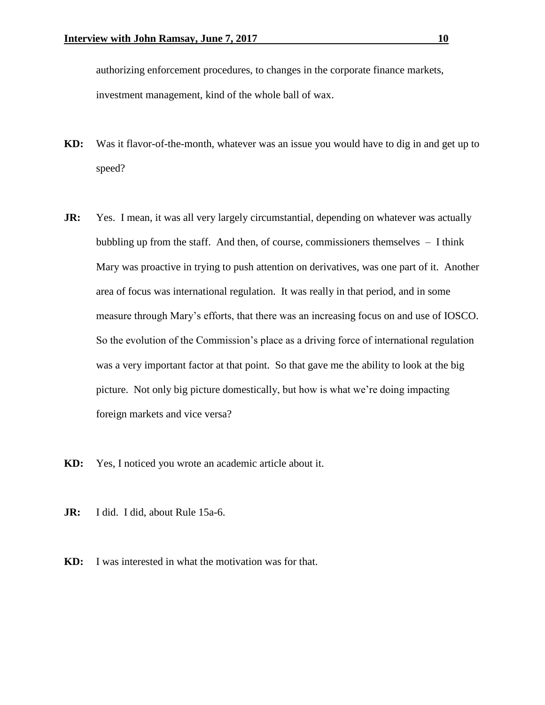authorizing enforcement procedures, to changes in the corporate finance markets, investment management, kind of the whole ball of wax.

- **KD:** Was it flavor-of-the-month, whatever was an issue you would have to dig in and get up to speed?
- **JR:** Yes. I mean, it was all very largely circumstantial, depending on whatever was actually bubbling up from the staff. And then, of course, commissioners themselves – I think Mary was proactive in trying to push attention on derivatives, was one part of it. Another area of focus was international regulation. It was really in that period, and in some measure through Mary's efforts, that there was an increasing focus on and use of IOSCO. So the evolution of the Commission's place as a driving force of international regulation was a very important factor at that point. So that gave me the ability to look at the big picture. Not only big picture domestically, but how is what we're doing impacting foreign markets and vice versa?
- **KD:** Yes, I noticed you wrote an academic article about it.
- **JR:** I did. I did, about Rule 15a-6.
- **KD:** I was interested in what the motivation was for that.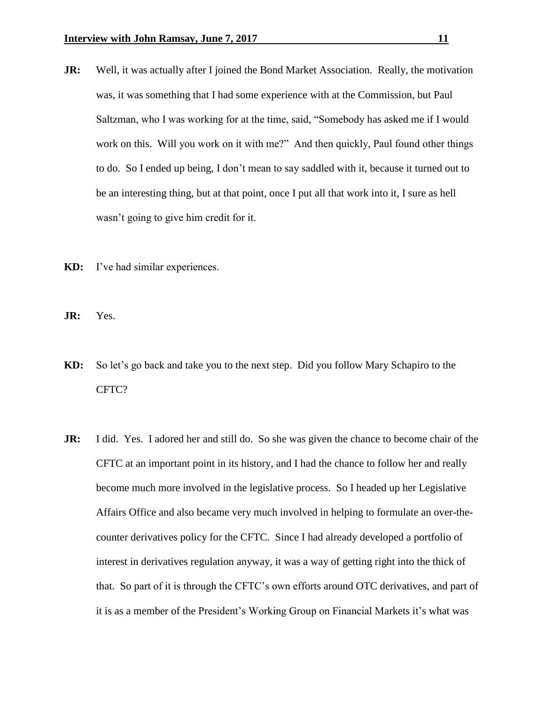- **JR:** Well, it was actually after I joined the Bond Market Association. Really, the motivation was, it was something that I had some experience with at the Commission, but Paul Saltzman, who I was working for at the time, said, "Somebody has asked me if I would work on this. Will you work on it with me?" And then quickly, Paul found other things to do. So I ended up being, I don't mean to say saddled with it, because it turned out to be an interesting thing, but at that point, once I put all that work into it, I sure as hell wasn't going to give him credit for it.
- **KD:** I've had similar experiences.
- **JR:** Yes.
- **KD:** So let's go back and take you to the next step. Did you follow Mary Schapiro to the CFTC?
- **JR:** I did. Yes. I adored her and still do. So she was given the chance to become chair of the CFTC at an important point in its history, and I had the chance to follow her and really become much more involved in the legislative process. So I headed up her Legislative Affairs Office and also became very much involved in helping to formulate an over-thecounter derivatives policy for the CFTC. Since I had already developed a portfolio of interest in derivatives regulation anyway, it was a way of getting right into the thick of that. So part of it is through the CFTC's own efforts around OTC derivatives, and part of it is as a member of the President's Working Group on Financial Markets it's what was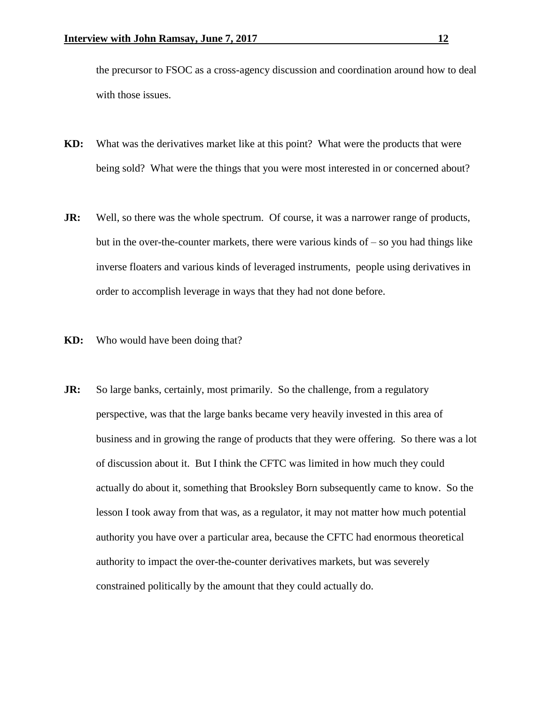the precursor to FSOC as a cross-agency discussion and coordination around how to deal with those issues.

- **KD:** What was the derivatives market like at this point? What were the products that were being sold? What were the things that you were most interested in or concerned about?
- **JR:** Well, so there was the whole spectrum. Of course, it was a narrower range of products, but in the over-the-counter markets, there were various kinds of  $-$  so you had things like inverse floaters and various kinds of leveraged instruments, people using derivatives in order to accomplish leverage in ways that they had not done before.
- **KD:** Who would have been doing that?
- **JR:** So large banks, certainly, most primarily. So the challenge, from a regulatory perspective, was that the large banks became very heavily invested in this area of business and in growing the range of products that they were offering. So there was a lot of discussion about it. But I think the CFTC was limited in how much they could actually do about it, something that Brooksley Born subsequently came to know. So the lesson I took away from that was, as a regulator, it may not matter how much potential authority you have over a particular area, because the CFTC had enormous theoretical authority to impact the over-the-counter derivatives markets, but was severely constrained politically by the amount that they could actually do.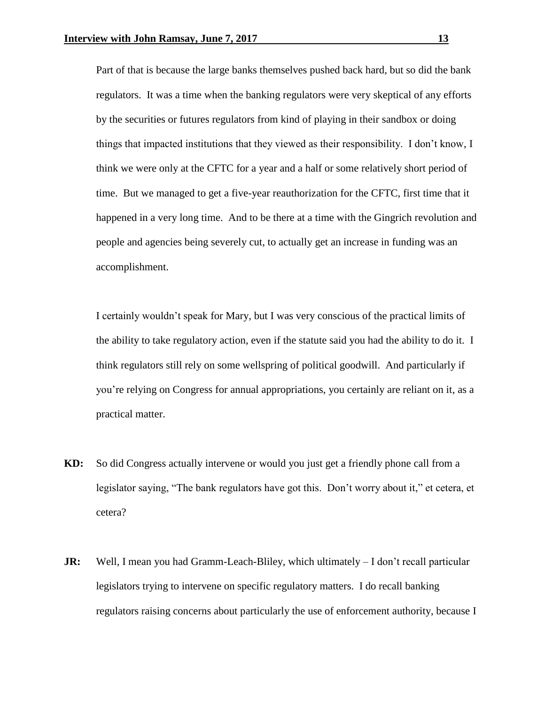Part of that is because the large banks themselves pushed back hard, but so did the bank regulators. It was a time when the banking regulators were very skeptical of any efforts by the securities or futures regulators from kind of playing in their sandbox or doing things that impacted institutions that they viewed as their responsibility. I don't know, I think we were only at the CFTC for a year and a half or some relatively short period of time. But we managed to get a five-year reauthorization for the CFTC, first time that it happened in a very long time. And to be there at a time with the Gingrich revolution and people and agencies being severely cut, to actually get an increase in funding was an accomplishment.

I certainly wouldn't speak for Mary, but I was very conscious of the practical limits of the ability to take regulatory action, even if the statute said you had the ability to do it. I think regulators still rely on some wellspring of political goodwill. And particularly if you're relying on Congress for annual appropriations, you certainly are reliant on it, as a practical matter.

- **KD:** So did Congress actually intervene or would you just get a friendly phone call from a legislator saying, "The bank regulators have got this. Don't worry about it," et cetera, et cetera?
- **JR:** Well, I mean you had Gramm-Leach-Bliley, which ultimately I don't recall particular legislators trying to intervene on specific regulatory matters. I do recall banking regulators raising concerns about particularly the use of enforcement authority, because I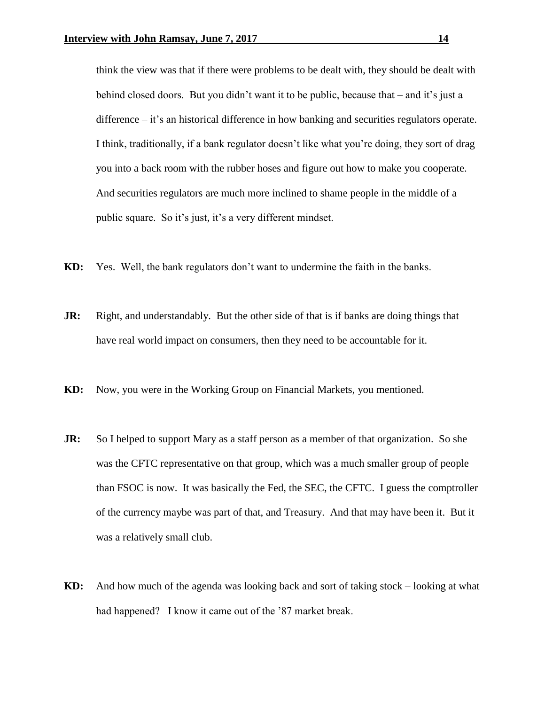think the view was that if there were problems to be dealt with, they should be dealt with behind closed doors. But you didn't want it to be public, because that – and it's just a difference – it's an historical difference in how banking and securities regulators operate. I think, traditionally, if a bank regulator doesn't like what you're doing, they sort of drag you into a back room with the rubber hoses and figure out how to make you cooperate. And securities regulators are much more inclined to shame people in the middle of a public square. So it's just, it's a very different mindset.

- **KD:** Yes. Well, the bank regulators don't want to undermine the faith in the banks.
- **JR:** Right, and understandably. But the other side of that is if banks are doing things that have real world impact on consumers, then they need to be accountable for it.
- **KD:** Now, you were in the Working Group on Financial Markets, you mentioned.
- **JR:** So I helped to support Mary as a staff person as a member of that organization. So she was the CFTC representative on that group, which was a much smaller group of people than FSOC is now. It was basically the Fed, the SEC, the CFTC. I guess the comptroller of the currency maybe was part of that, and Treasury. And that may have been it. But it was a relatively small club.
- **KD:** And how much of the agenda was looking back and sort of taking stock looking at what had happened? I know it came out of the '87 market break.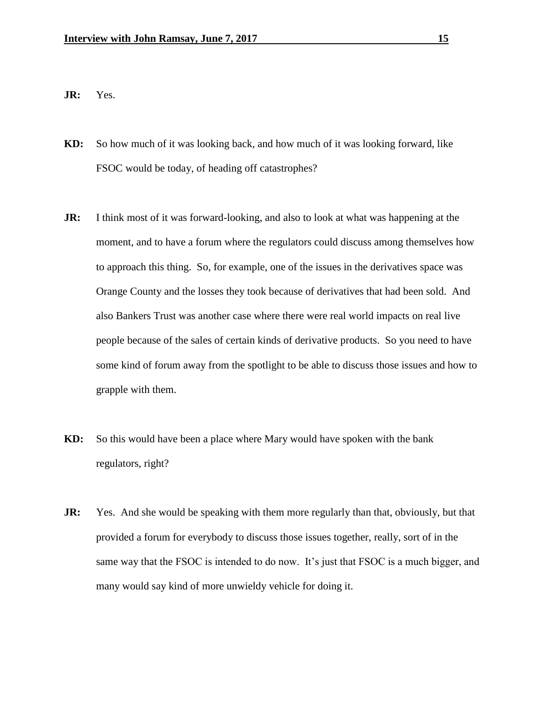**JR:** Yes.

- **KD:** So how much of it was looking back, and how much of it was looking forward, like FSOC would be today, of heading off catastrophes?
- **JR:** I think most of it was forward-looking, and also to look at what was happening at the moment, and to have a forum where the regulators could discuss among themselves how to approach this thing. So, for example, one of the issues in the derivatives space was Orange County and the losses they took because of derivatives that had been sold. And also Bankers Trust was another case where there were real world impacts on real live people because of the sales of certain kinds of derivative products. So you need to have some kind of forum away from the spotlight to be able to discuss those issues and how to grapple with them.
- **KD:** So this would have been a place where Mary would have spoken with the bank regulators, right?
- **JR:** Yes. And she would be speaking with them more regularly than that, obviously, but that provided a forum for everybody to discuss those issues together, really, sort of in the same way that the FSOC is intended to do now. It's just that FSOC is a much bigger, and many would say kind of more unwieldy vehicle for doing it.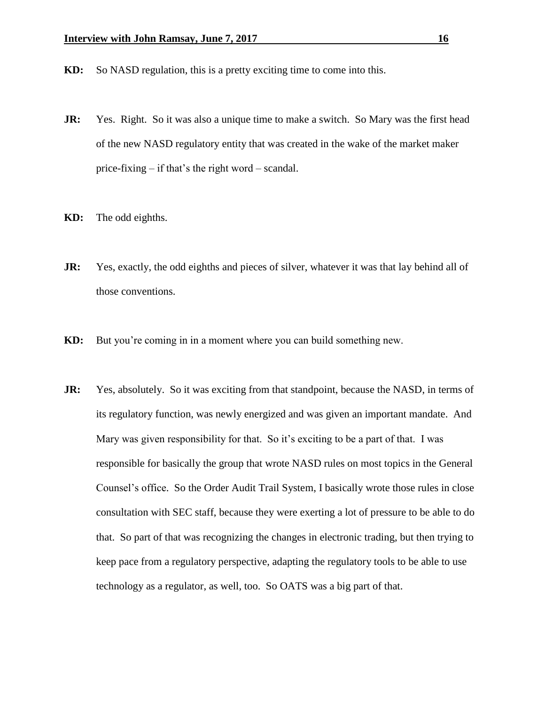- **KD:** So NASD regulation, this is a pretty exciting time to come into this.
- **JR:** Yes. Right. So it was also a unique time to make a switch. So Mary was the first head of the new NASD regulatory entity that was created in the wake of the market maker price-fixing – if that's the right word – scandal.
- **KD:** The odd eighths.
- **JR:** Yes, exactly, the odd eighths and pieces of silver, whatever it was that lay behind all of those conventions.
- **KD:** But you're coming in in a moment where you can build something new.
- **JR:** Yes, absolutely. So it was exciting from that standpoint, because the NASD, in terms of its regulatory function, was newly energized and was given an important mandate. And Mary was given responsibility for that. So it's exciting to be a part of that. I was responsible for basically the group that wrote NASD rules on most topics in the General Counsel's office. So the Order Audit Trail System, I basically wrote those rules in close consultation with SEC staff, because they were exerting a lot of pressure to be able to do that. So part of that was recognizing the changes in electronic trading, but then trying to keep pace from a regulatory perspective, adapting the regulatory tools to be able to use technology as a regulator, as well, too. So OATS was a big part of that.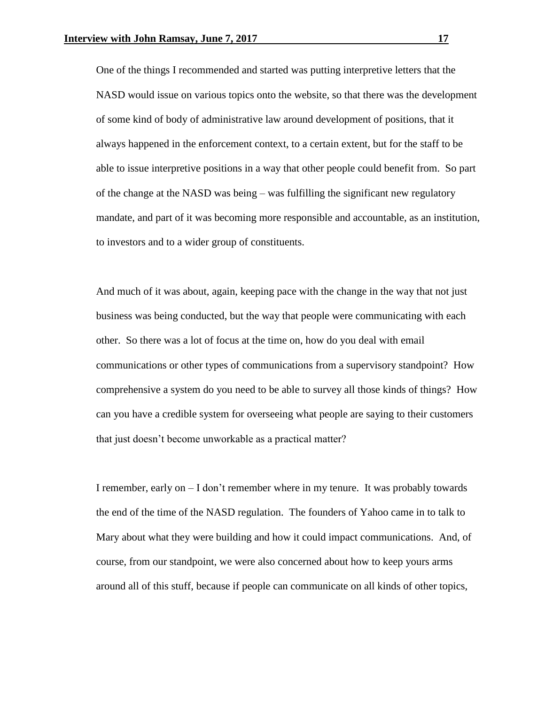One of the things I recommended and started was putting interpretive letters that the NASD would issue on various topics onto the website, so that there was the development of some kind of body of administrative law around development of positions, that it always happened in the enforcement context, to a certain extent, but for the staff to be able to issue interpretive positions in a way that other people could benefit from. So part of the change at the NASD was being – was fulfilling the significant new regulatory mandate, and part of it was becoming more responsible and accountable, as an institution, to investors and to a wider group of constituents.

And much of it was about, again, keeping pace with the change in the way that not just business was being conducted, but the way that people were communicating with each other. So there was a lot of focus at the time on, how do you deal with email communications or other types of communications from a supervisory standpoint? How comprehensive a system do you need to be able to survey all those kinds of things? How can you have a credible system for overseeing what people are saying to their customers that just doesn't become unworkable as a practical matter?

I remember, early on  $-1$  don't remember where in my tenure. It was probably towards the end of the time of the NASD regulation. The founders of Yahoo came in to talk to Mary about what they were building and how it could impact communications. And, of course, from our standpoint, we were also concerned about how to keep yours arms around all of this stuff, because if people can communicate on all kinds of other topics,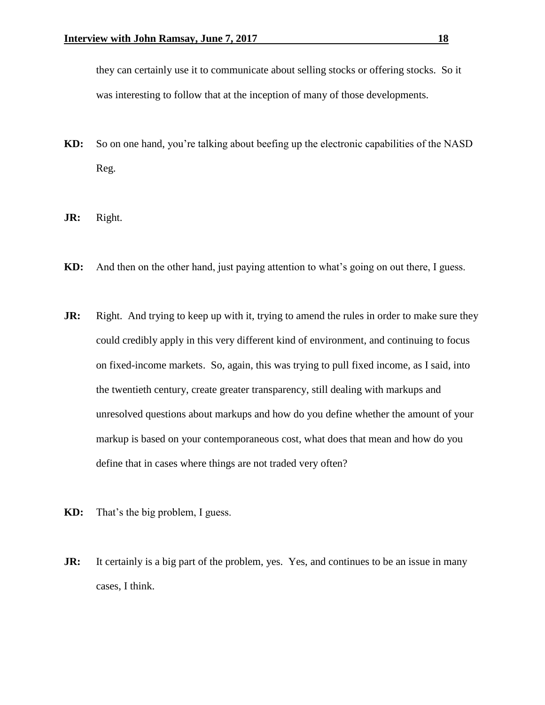they can certainly use it to communicate about selling stocks or offering stocks. So it was interesting to follow that at the inception of many of those developments.

- **KD:** So on one hand, you're talking about beefing up the electronic capabilities of the NASD Reg.
- **JR:** Right.
- **KD:** And then on the other hand, just paying attention to what's going on out there, I guess.
- **JR:** Right. And trying to keep up with it, trying to amend the rules in order to make sure they could credibly apply in this very different kind of environment, and continuing to focus on fixed-income markets. So, again, this was trying to pull fixed income, as I said, into the twentieth century, create greater transparency, still dealing with markups and unresolved questions about markups and how do you define whether the amount of your markup is based on your contemporaneous cost, what does that mean and how do you define that in cases where things are not traded very often?
- **KD:** That's the big problem, I guess.
- **JR:** It certainly is a big part of the problem, yes. Yes, and continues to be an issue in many cases, I think.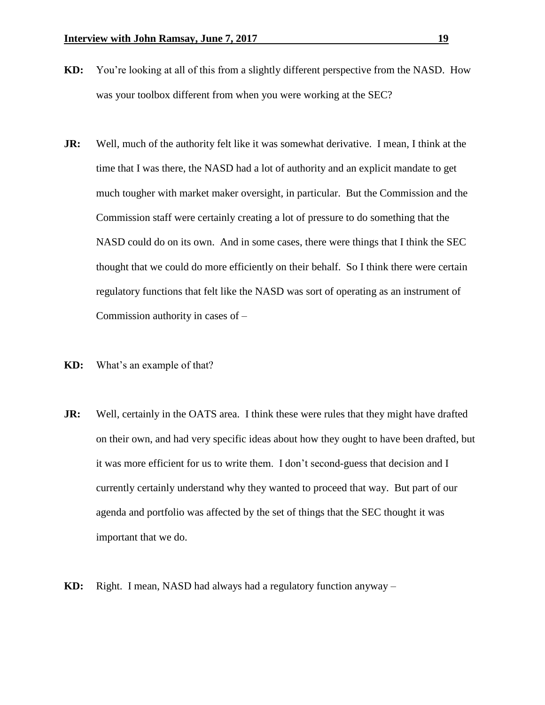- **KD:** You're looking at all of this from a slightly different perspective from the NASD. How was your toolbox different from when you were working at the SEC?
- **JR:** Well, much of the authority felt like it was somewhat derivative. I mean, I think at the time that I was there, the NASD had a lot of authority and an explicit mandate to get much tougher with market maker oversight, in particular. But the Commission and the Commission staff were certainly creating a lot of pressure to do something that the NASD could do on its own. And in some cases, there were things that I think the SEC thought that we could do more efficiently on their behalf. So I think there were certain regulatory functions that felt like the NASD was sort of operating as an instrument of Commission authority in cases of –
- **KD:** What's an example of that?
- **JR:** Well, certainly in the OATS area. I think these were rules that they might have drafted on their own, and had very specific ideas about how they ought to have been drafted, but it was more efficient for us to write them. I don't second-guess that decision and I currently certainly understand why they wanted to proceed that way. But part of our agenda and portfolio was affected by the set of things that the SEC thought it was important that we do.
- **KD:** Right. I mean, NASD had always had a regulatory function anyway –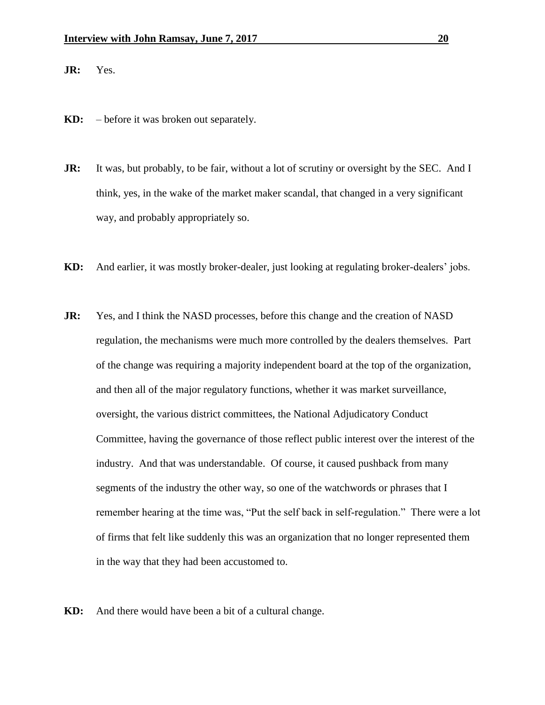**JR:** Yes.

- **KD:** before it was broken out separately.
- **JR:** It was, but probably, to be fair, without a lot of scrutiny or oversight by the SEC. And I think, yes, in the wake of the market maker scandal, that changed in a very significant way, and probably appropriately so.
- **KD:** And earlier, it was mostly broker-dealer, just looking at regulating broker-dealers' jobs.
- **JR:** Yes, and I think the NASD processes, before this change and the creation of NASD regulation, the mechanisms were much more controlled by the dealers themselves. Part of the change was requiring a majority independent board at the top of the organization, and then all of the major regulatory functions, whether it was market surveillance, oversight, the various district committees, the National Adjudicatory Conduct Committee, having the governance of those reflect public interest over the interest of the industry. And that was understandable. Of course, it caused pushback from many segments of the industry the other way, so one of the watchwords or phrases that I remember hearing at the time was, "Put the self back in self-regulation." There were a lot of firms that felt like suddenly this was an organization that no longer represented them in the way that they had been accustomed to.
- **KD:** And there would have been a bit of a cultural change.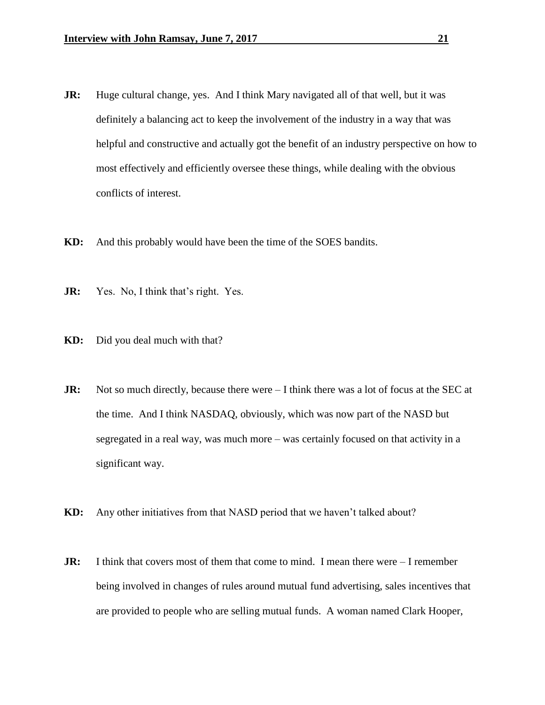- **JR:** Huge cultural change, yes. And I think Mary navigated all of that well, but it was definitely a balancing act to keep the involvement of the industry in a way that was helpful and constructive and actually got the benefit of an industry perspective on how to most effectively and efficiently oversee these things, while dealing with the obvious conflicts of interest.
- **KD:** And this probably would have been the time of the SOES bandits.
- **JR:** Yes. No, I think that's right. Yes.
- **KD:** Did you deal much with that?
- **JR:** Not so much directly, because there were I think there was a lot of focus at the SEC at the time. And I think NASDAQ, obviously, which was now part of the NASD but segregated in a real way, was much more – was certainly focused on that activity in a significant way.
- **KD:** Any other initiatives from that NASD period that we haven't talked about?
- **JR:** I think that covers most of them that come to mind. I mean there were  $-1$  remember being involved in changes of rules around mutual fund advertising, sales incentives that are provided to people who are selling mutual funds. A woman named Clark Hooper,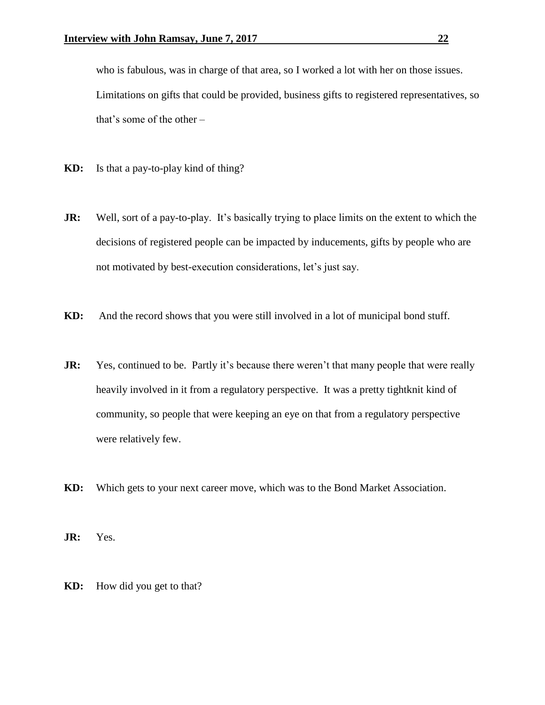who is fabulous, was in charge of that area, so I worked a lot with her on those issues. Limitations on gifts that could be provided, business gifts to registered representatives, so that's some of the other –

- **KD:** Is that a pay-to-play kind of thing?
- **JR:** Well, sort of a pay-to-play. It's basically trying to place limits on the extent to which the decisions of registered people can be impacted by inducements, gifts by people who are not motivated by best-execution considerations, let's just say.
- **KD:** And the record shows that you were still involved in a lot of municipal bond stuff.
- **JR:** Yes, continued to be. Partly it's because there weren't that many people that were really heavily involved in it from a regulatory perspective. It was a pretty tightknit kind of community, so people that were keeping an eye on that from a regulatory perspective were relatively few.
- **KD:** Which gets to your next career move, which was to the Bond Market Association.

**JR:** Yes.

**KD:** How did you get to that?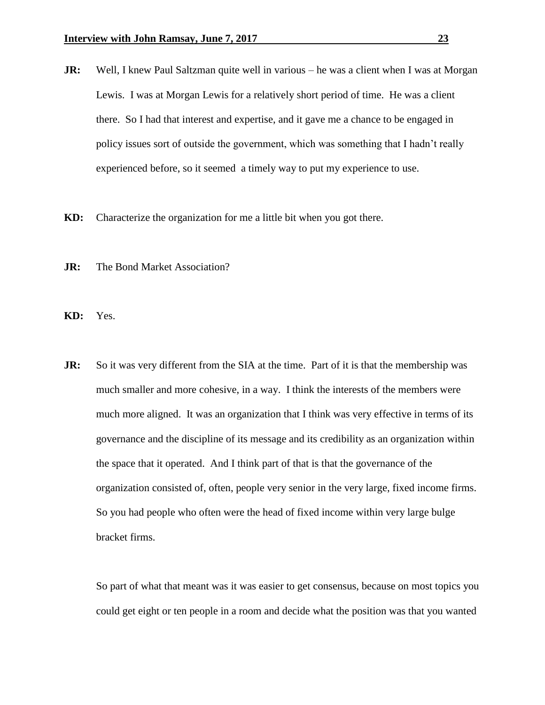- **JR:** Well, I knew Paul Saltzman quite well in various he was a client when I was at Morgan Lewis. I was at Morgan Lewis for a relatively short period of time. He was a client there. So I had that interest and expertise, and it gave me a chance to be engaged in policy issues sort of outside the government, which was something that I hadn't really experienced before, so it seemed a timely way to put my experience to use.
- **KD:** Characterize the organization for me a little bit when you got there.
- **JR:** The Bond Market Association?
- **KD:** Yes.
- **JR:** So it was very different from the SIA at the time. Part of it is that the membership was much smaller and more cohesive, in a way. I think the interests of the members were much more aligned. It was an organization that I think was very effective in terms of its governance and the discipline of its message and its credibility as an organization within the space that it operated. And I think part of that is that the governance of the organization consisted of, often, people very senior in the very large, fixed income firms. So you had people who often were the head of fixed income within very large bulge bracket firms.

So part of what that meant was it was easier to get consensus, because on most topics you could get eight or ten people in a room and decide what the position was that you wanted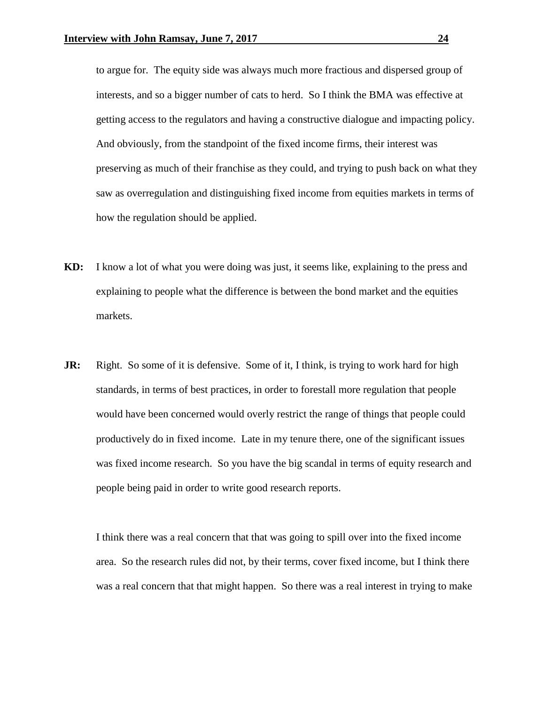to argue for. The equity side was always much more fractious and dispersed group of interests, and so a bigger number of cats to herd. So I think the BMA was effective at getting access to the regulators and having a constructive dialogue and impacting policy. And obviously, from the standpoint of the fixed income firms, their interest was preserving as much of their franchise as they could, and trying to push back on what they saw as overregulation and distinguishing fixed income from equities markets in terms of how the regulation should be applied.

- **KD:** I know a lot of what you were doing was just, it seems like, explaining to the press and explaining to people what the difference is between the bond market and the equities markets.
- **JR:** Right. So some of it is defensive. Some of it, I think, is trying to work hard for high standards, in terms of best practices, in order to forestall more regulation that people would have been concerned would overly restrict the range of things that people could productively do in fixed income. Late in my tenure there, one of the significant issues was fixed income research. So you have the big scandal in terms of equity research and people being paid in order to write good research reports.

I think there was a real concern that that was going to spill over into the fixed income area. So the research rules did not, by their terms, cover fixed income, but I think there was a real concern that that might happen. So there was a real interest in trying to make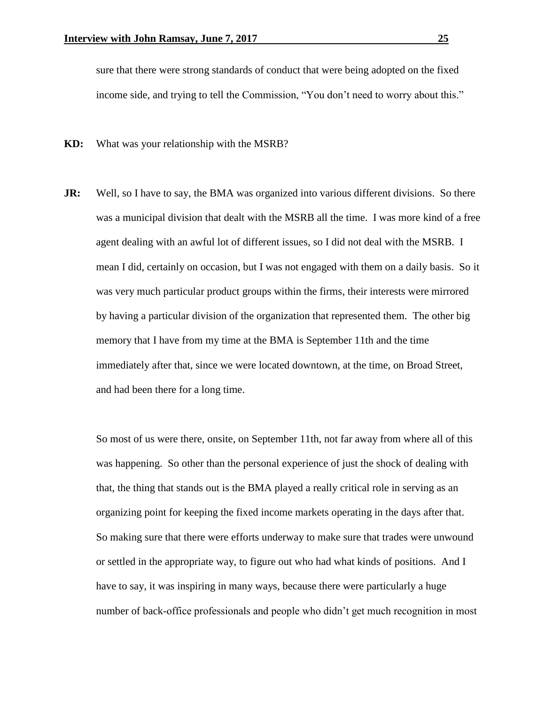sure that there were strong standards of conduct that were being adopted on the fixed income side, and trying to tell the Commission, "You don't need to worry about this."

**KD:** What was your relationship with the MSRB?

**JR:** Well, so I have to say, the BMA was organized into various different divisions. So there was a municipal division that dealt with the MSRB all the time. I was more kind of a free agent dealing with an awful lot of different issues, so I did not deal with the MSRB. I mean I did, certainly on occasion, but I was not engaged with them on a daily basis. So it was very much particular product groups within the firms, their interests were mirrored by having a particular division of the organization that represented them. The other big memory that I have from my time at the BMA is September 11th and the time immediately after that, since we were located downtown, at the time, on Broad Street, and had been there for a long time.

So most of us were there, onsite, on September 11th, not far away from where all of this was happening. So other than the personal experience of just the shock of dealing with that, the thing that stands out is the BMA played a really critical role in serving as an organizing point for keeping the fixed income markets operating in the days after that. So making sure that there were efforts underway to make sure that trades were unwound or settled in the appropriate way, to figure out who had what kinds of positions. And I have to say, it was inspiring in many ways, because there were particularly a huge number of back-office professionals and people who didn't get much recognition in most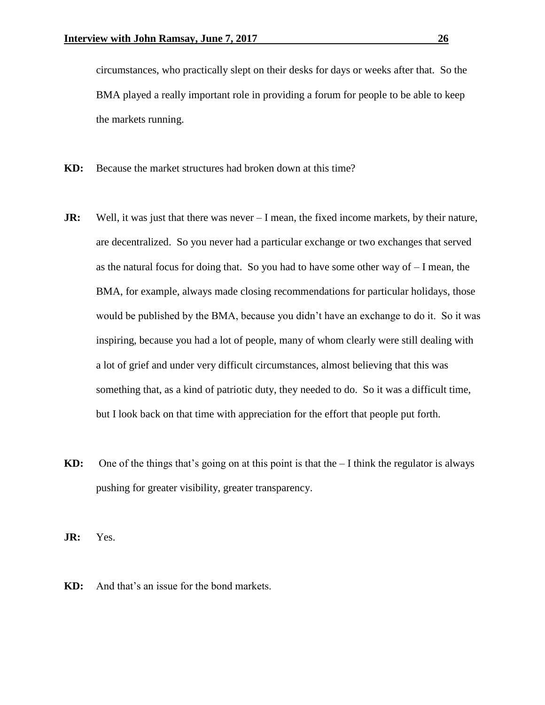circumstances, who practically slept on their desks for days or weeks after that. So the BMA played a really important role in providing a forum for people to be able to keep the markets running.

- **KD:** Because the market structures had broken down at this time?
- **JR:** Well, it was just that there was never I mean, the fixed income markets, by their nature, are decentralized. So you never had a particular exchange or two exchanges that served as the natural focus for doing that. So you had to have some other way of  $-I$  mean, the BMA, for example, always made closing recommendations for particular holidays, those would be published by the BMA, because you didn't have an exchange to do it. So it was inspiring, because you had a lot of people, many of whom clearly were still dealing with a lot of grief and under very difficult circumstances, almost believing that this was something that, as a kind of patriotic duty, they needed to do. So it was a difficult time, but I look back on that time with appreciation for the effort that people put forth.
- **KD:** One of the things that's going on at this point is that the I think the regulator is always pushing for greater visibility, greater transparency.

**JR:** Yes.

**KD:** And that's an issue for the bond markets.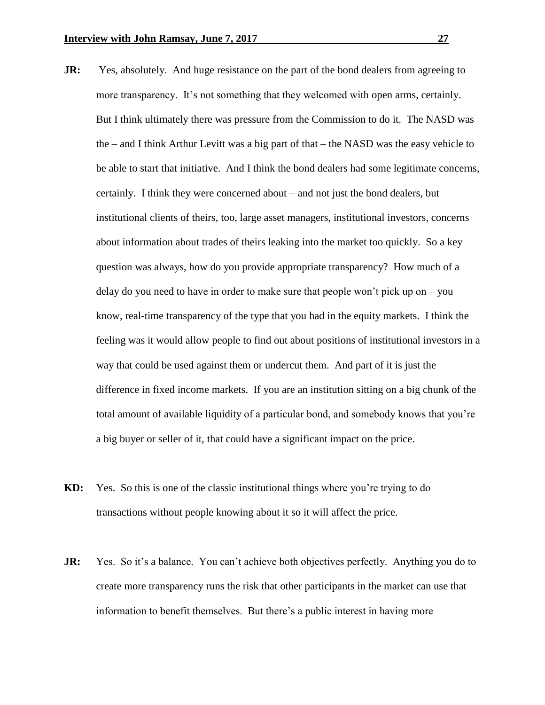- **JR:** Yes, absolutely. And huge resistance on the part of the bond dealers from agreeing to more transparency. It's not something that they welcomed with open arms, certainly. But I think ultimately there was pressure from the Commission to do it. The NASD was the – and I think Arthur Levitt was a big part of that – the NASD was the easy vehicle to be able to start that initiative. And I think the bond dealers had some legitimate concerns, certainly. I think they were concerned about – and not just the bond dealers, but institutional clients of theirs, too, large asset managers, institutional investors, concerns about information about trades of theirs leaking into the market too quickly. So a key question was always, how do you provide appropriate transparency? How much of a delay do you need to have in order to make sure that people won't pick up on – you know, real-time transparency of the type that you had in the equity markets. I think the feeling was it would allow people to find out about positions of institutional investors in a way that could be used against them or undercut them. And part of it is just the difference in fixed income markets. If you are an institution sitting on a big chunk of the total amount of available liquidity of a particular bond, and somebody knows that you're a big buyer or seller of it, that could have a significant impact on the price.
- **KD:** Yes. So this is one of the classic institutional things where you're trying to do transactions without people knowing about it so it will affect the price.
- **JR:** Yes. So it's a balance. You can't achieve both objectives perfectly. Anything you do to create more transparency runs the risk that other participants in the market can use that information to benefit themselves. But there's a public interest in having more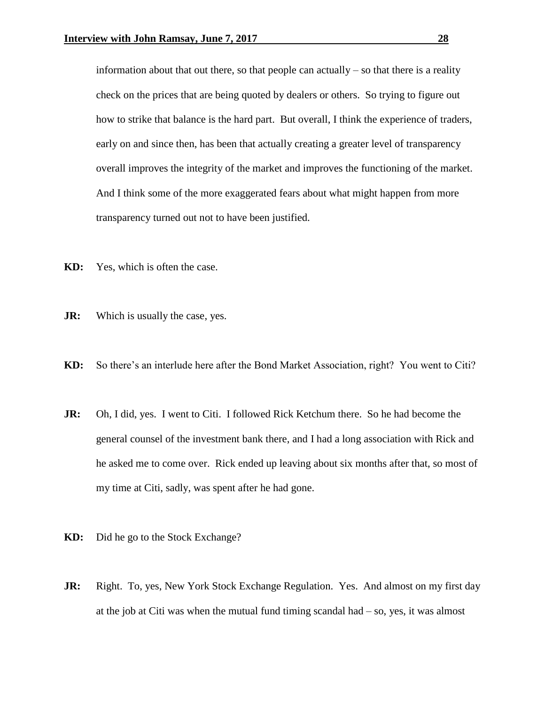information about that out there, so that people can actually  $-$  so that there is a reality check on the prices that are being quoted by dealers or others. So trying to figure out how to strike that balance is the hard part. But overall, I think the experience of traders, early on and since then, has been that actually creating a greater level of transparency overall improves the integrity of the market and improves the functioning of the market. And I think some of the more exaggerated fears about what might happen from more transparency turned out not to have been justified.

- **KD:** Yes, which is often the case.
- **JR:** Which is usually the case, yes.
- **KD:** So there's an interlude here after the Bond Market Association, right? You went to Citi?
- **JR:** Oh, I did, yes. I went to Citi. I followed Rick Ketchum there. So he had become the general counsel of the investment bank there, and I had a long association with Rick and he asked me to come over. Rick ended up leaving about six months after that, so most of my time at Citi, sadly, was spent after he had gone.
- **KD:** Did he go to the Stock Exchange?
- **JR:** Right. To, yes, New York Stock Exchange Regulation. Yes. And almost on my first day at the job at Citi was when the mutual fund timing scandal had  $-$  so, yes, it was almost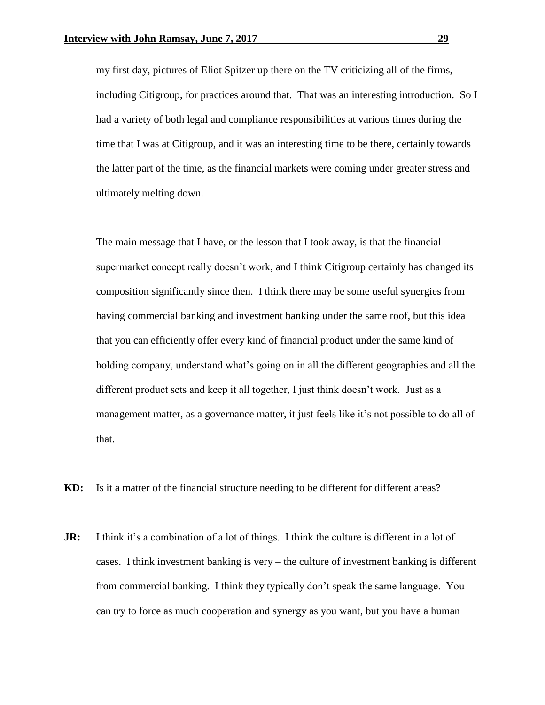my first day, pictures of Eliot Spitzer up there on the TV criticizing all of the firms, including Citigroup, for practices around that. That was an interesting introduction. So I had a variety of both legal and compliance responsibilities at various times during the time that I was at Citigroup, and it was an interesting time to be there, certainly towards the latter part of the time, as the financial markets were coming under greater stress and ultimately melting down.

The main message that I have, or the lesson that I took away, is that the financial supermarket concept really doesn't work, and I think Citigroup certainly has changed its composition significantly since then. I think there may be some useful synergies from having commercial banking and investment banking under the same roof, but this idea that you can efficiently offer every kind of financial product under the same kind of holding company, understand what's going on in all the different geographies and all the different product sets and keep it all together, I just think doesn't work. Just as a management matter, as a governance matter, it just feels like it's not possible to do all of that.

**KD:** Is it a matter of the financial structure needing to be different for different areas?

**JR:** I think it's a combination of a lot of things. I think the culture is different in a lot of cases. I think investment banking is very – the culture of investment banking is different from commercial banking. I think they typically don't speak the same language. You can try to force as much cooperation and synergy as you want, but you have a human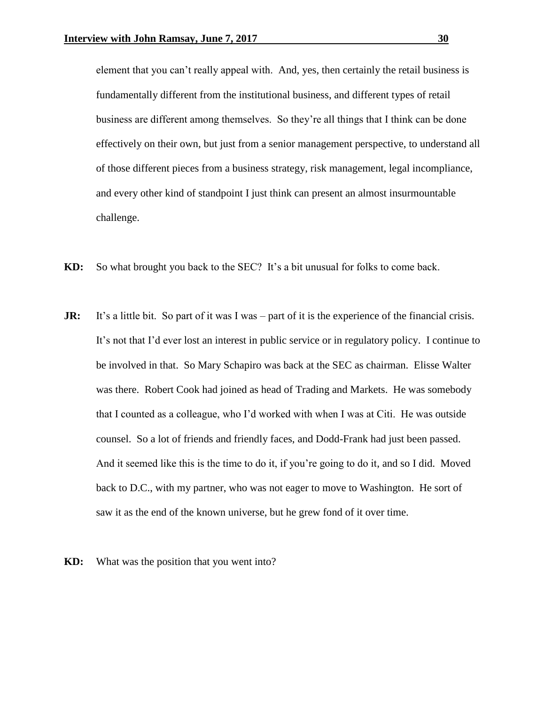element that you can't really appeal with. And, yes, then certainly the retail business is fundamentally different from the institutional business, and different types of retail business are different among themselves. So they're all things that I think can be done effectively on their own, but just from a senior management perspective, to understand all of those different pieces from a business strategy, risk management, legal incompliance, and every other kind of standpoint I just think can present an almost insurmountable challenge.

- **KD:** So what brought you back to the SEC? It's a bit unusual for folks to come back.
- **JR:** It's a little bit. So part of it was I was part of it is the experience of the financial crisis. It's not that I'd ever lost an interest in public service or in regulatory policy. I continue to be involved in that. So Mary Schapiro was back at the SEC as chairman. Elisse Walter was there. Robert Cook had joined as head of Trading and Markets. He was somebody that I counted as a colleague, who I'd worked with when I was at Citi. He was outside counsel. So a lot of friends and friendly faces, and Dodd-Frank had just been passed. And it seemed like this is the time to do it, if you're going to do it, and so I did. Moved back to D.C., with my partner, who was not eager to move to Washington. He sort of saw it as the end of the known universe, but he grew fond of it over time.
- **KD:** What was the position that you went into?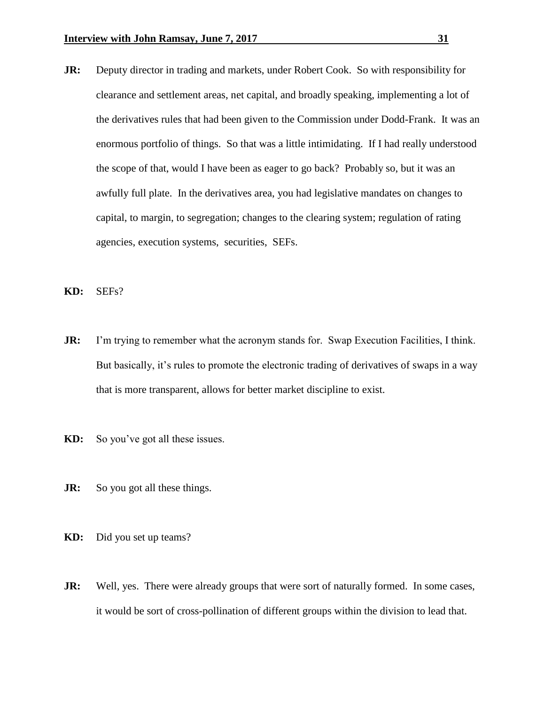- **JR:** Deputy director in trading and markets, under Robert Cook. So with responsibility for clearance and settlement areas, net capital, and broadly speaking, implementing a lot of the derivatives rules that had been given to the Commission under Dodd-Frank. It was an enormous portfolio of things. So that was a little intimidating. If I had really understood the scope of that, would I have been as eager to go back? Probably so, but it was an awfully full plate. In the derivatives area, you had legislative mandates on changes to capital, to margin, to segregation; changes to the clearing system; regulation of rating agencies, execution systems, securities, SEFs.
- **KD:** SEFs?
- **JR:** I'm trying to remember what the acronym stands for. Swap Execution Facilities, I think. But basically, it's rules to promote the electronic trading of derivatives of swaps in a way that is more transparent, allows for better market discipline to exist.
- **KD:** So you've got all these issues.
- **JR:** So you got all these things.
- **KD:** Did you set up teams?
- **JR:** Well, yes. There were already groups that were sort of naturally formed. In some cases, it would be sort of cross-pollination of different groups within the division to lead that.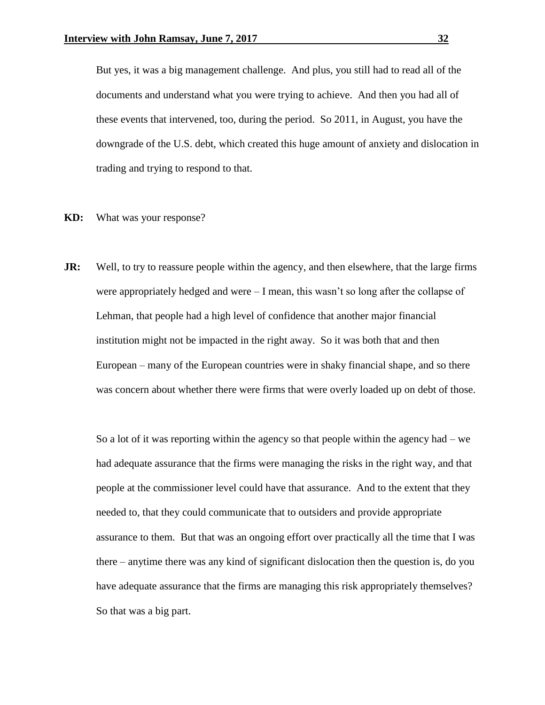But yes, it was a big management challenge. And plus, you still had to read all of the documents and understand what you were trying to achieve. And then you had all of these events that intervened, too, during the period. So 2011, in August, you have the downgrade of the U.S. debt, which created this huge amount of anxiety and dislocation in trading and trying to respond to that.

- **KD:** What was your response?
- **JR:** Well, to try to reassure people within the agency, and then elsewhere, that the large firms were appropriately hedged and were – I mean, this wasn't so long after the collapse of Lehman, that people had a high level of confidence that another major financial institution might not be impacted in the right away. So it was both that and then European – many of the European countries were in shaky financial shape, and so there was concern about whether there were firms that were overly loaded up on debt of those.

So a lot of it was reporting within the agency so that people within the agency had – we had adequate assurance that the firms were managing the risks in the right way, and that people at the commissioner level could have that assurance. And to the extent that they needed to, that they could communicate that to outsiders and provide appropriate assurance to them. But that was an ongoing effort over practically all the time that I was there – anytime there was any kind of significant dislocation then the question is, do you have adequate assurance that the firms are managing this risk appropriately themselves? So that was a big part.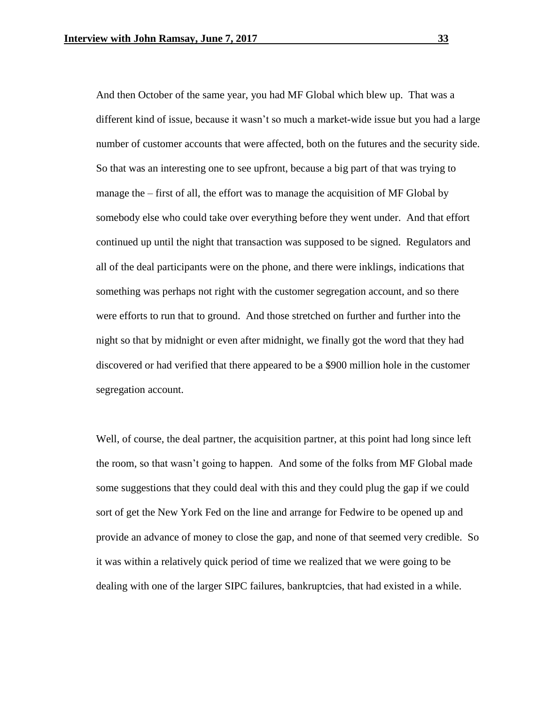And then October of the same year, you had MF Global which blew up. That was a different kind of issue, because it wasn't so much a market-wide issue but you had a large number of customer accounts that were affected, both on the futures and the security side. So that was an interesting one to see upfront, because a big part of that was trying to manage the – first of all, the effort was to manage the acquisition of MF Global by somebody else who could take over everything before they went under. And that effort continued up until the night that transaction was supposed to be signed. Regulators and all of the deal participants were on the phone, and there were inklings, indications that something was perhaps not right with the customer segregation account, and so there were efforts to run that to ground. And those stretched on further and further into the night so that by midnight or even after midnight, we finally got the word that they had discovered or had verified that there appeared to be a \$900 million hole in the customer segregation account.

Well, of course, the deal partner, the acquisition partner, at this point had long since left the room, so that wasn't going to happen. And some of the folks from MF Global made some suggestions that they could deal with this and they could plug the gap if we could sort of get the New York Fed on the line and arrange for Fedwire to be opened up and provide an advance of money to close the gap, and none of that seemed very credible. So it was within a relatively quick period of time we realized that we were going to be dealing with one of the larger SIPC failures, bankruptcies, that had existed in a while.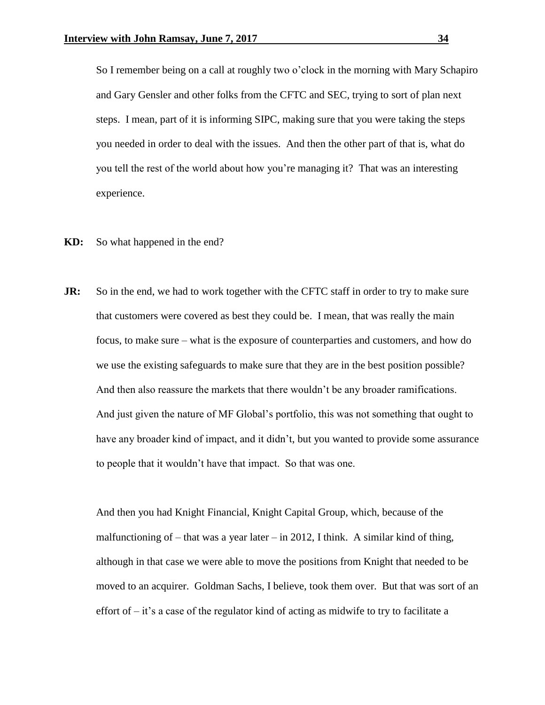So I remember being on a call at roughly two o'clock in the morning with Mary Schapiro and Gary Gensler and other folks from the CFTC and SEC, trying to sort of plan next steps. I mean, part of it is informing SIPC, making sure that you were taking the steps you needed in order to deal with the issues. And then the other part of that is, what do you tell the rest of the world about how you're managing it? That was an interesting experience.

- **KD:** So what happened in the end?
- **JR:** So in the end, we had to work together with the CFTC staff in order to try to make sure that customers were covered as best they could be. I mean, that was really the main focus, to make sure – what is the exposure of counterparties and customers, and how do we use the existing safeguards to make sure that they are in the best position possible? And then also reassure the markets that there wouldn't be any broader ramifications. And just given the nature of MF Global's portfolio, this was not something that ought to have any broader kind of impact, and it didn't, but you wanted to provide some assurance to people that it wouldn't have that impact. So that was one.

And then you had Knight Financial, Knight Capital Group, which, because of the malfunctioning of – that was a year later – in 2012, I think. A similar kind of thing, although in that case we were able to move the positions from Knight that needed to be moved to an acquirer. Goldman Sachs, I believe, took them over. But that was sort of an effort of  $-$  it's a case of the regulator kind of acting as midwife to try to facilitate a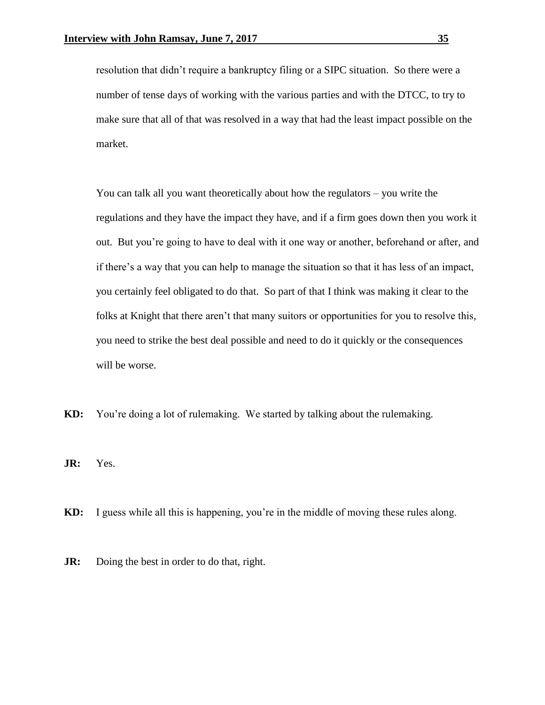resolution that didn't require a bankruptcy filing or a SIPC situation. So there were a number of tense days of working with the various parties and with the DTCC, to try to make sure that all of that was resolved in a way that had the least impact possible on the market.

You can talk all you want theoretically about how the regulators – you write the regulations and they have the impact they have, and if a firm goes down then you work it out. But you're going to have to deal with it one way or another, beforehand or after, and if there's a way that you can help to manage the situation so that it has less of an impact, you certainly feel obligated to do that. So part of that I think was making it clear to the folks at Knight that there aren't that many suitors or opportunities for you to resolve this, you need to strike the best deal possible and need to do it quickly or the consequences will be worse.

**KD:** You're doing a lot of rulemaking. We started by talking about the rulemaking.

**JR:** Yes.

- **KD:** I guess while all this is happening, you're in the middle of moving these rules along.
- **JR:** Doing the best in order to do that, right.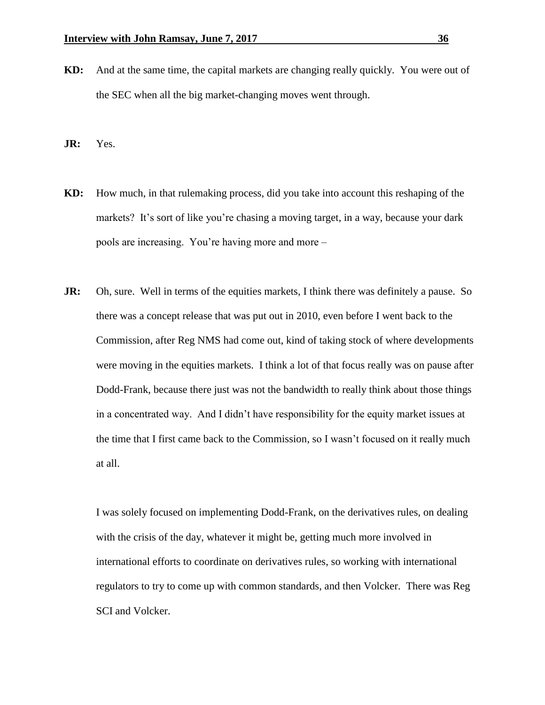**KD:** And at the same time, the capital markets are changing really quickly. You were out of the SEC when all the big market-changing moves went through.

**JR:** Yes.

- **KD:** How much, in that rulemaking process, did you take into account this reshaping of the markets? It's sort of like you're chasing a moving target, in a way, because your dark pools are increasing. You're having more and more –
- **JR:** Oh, sure. Well in terms of the equities markets, I think there was definitely a pause. So there was a concept release that was put out in 2010, even before I went back to the Commission, after Reg NMS had come out, kind of taking stock of where developments were moving in the equities markets. I think a lot of that focus really was on pause after Dodd-Frank, because there just was not the bandwidth to really think about those things in a concentrated way. And I didn't have responsibility for the equity market issues at the time that I first came back to the Commission, so I wasn't focused on it really much at all.

I was solely focused on implementing Dodd-Frank, on the derivatives rules, on dealing with the crisis of the day, whatever it might be, getting much more involved in international efforts to coordinate on derivatives rules, so working with international regulators to try to come up with common standards, and then Volcker. There was Reg SCI and Volcker.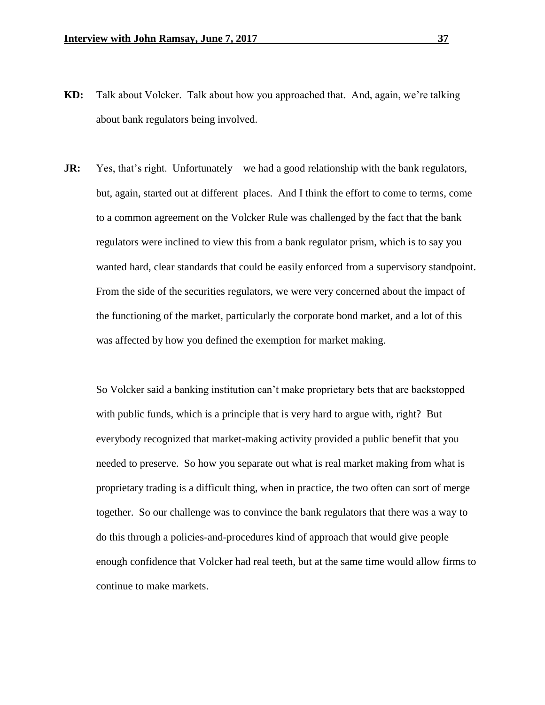- **KD:** Talk about Volcker. Talk about how you approached that. And, again, we're talking about bank regulators being involved.
- **JR:** Yes, that's right. Unfortunately we had a good relationship with the bank regulators, but, again, started out at different places. And I think the effort to come to terms, come to a common agreement on the Volcker Rule was challenged by the fact that the bank regulators were inclined to view this from a bank regulator prism, which is to say you wanted hard, clear standards that could be easily enforced from a supervisory standpoint. From the side of the securities regulators, we were very concerned about the impact of the functioning of the market, particularly the corporate bond market, and a lot of this was affected by how you defined the exemption for market making.

So Volcker said a banking institution can't make proprietary bets that are backstopped with public funds, which is a principle that is very hard to argue with, right? But everybody recognized that market-making activity provided a public benefit that you needed to preserve. So how you separate out what is real market making from what is proprietary trading is a difficult thing, when in practice, the two often can sort of merge together. So our challenge was to convince the bank regulators that there was a way to do this through a policies-and-procedures kind of approach that would give people enough confidence that Volcker had real teeth, but at the same time would allow firms to continue to make markets.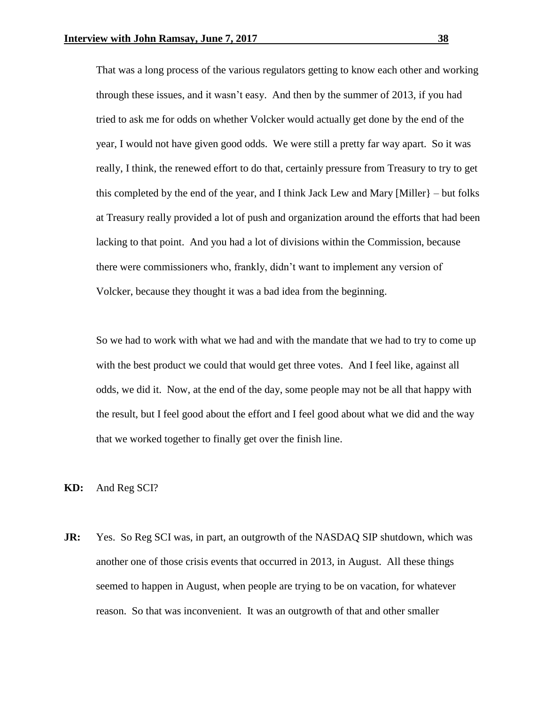That was a long process of the various regulators getting to know each other and working through these issues, and it wasn't easy. And then by the summer of 2013, if you had tried to ask me for odds on whether Volcker would actually get done by the end of the year, I would not have given good odds. We were still a pretty far way apart. So it was really, I think, the renewed effort to do that, certainly pressure from Treasury to try to get this completed by the end of the year, and I think Jack Lew and Mary [Miller]  $-$  but folks at Treasury really provided a lot of push and organization around the efforts that had been lacking to that point. And you had a lot of divisions within the Commission, because there were commissioners who, frankly, didn't want to implement any version of Volcker, because they thought it was a bad idea from the beginning.

So we had to work with what we had and with the mandate that we had to try to come up with the best product we could that would get three votes. And I feel like, against all odds, we did it. Now, at the end of the day, some people may not be all that happy with the result, but I feel good about the effort and I feel good about what we did and the way that we worked together to finally get over the finish line.

**KD:** And Reg SCI?

**JR:** Yes. So Reg SCI was, in part, an outgrowth of the NASDAQ SIP shutdown, which was another one of those crisis events that occurred in 2013, in August. All these things seemed to happen in August, when people are trying to be on vacation, for whatever reason. So that was inconvenient. It was an outgrowth of that and other smaller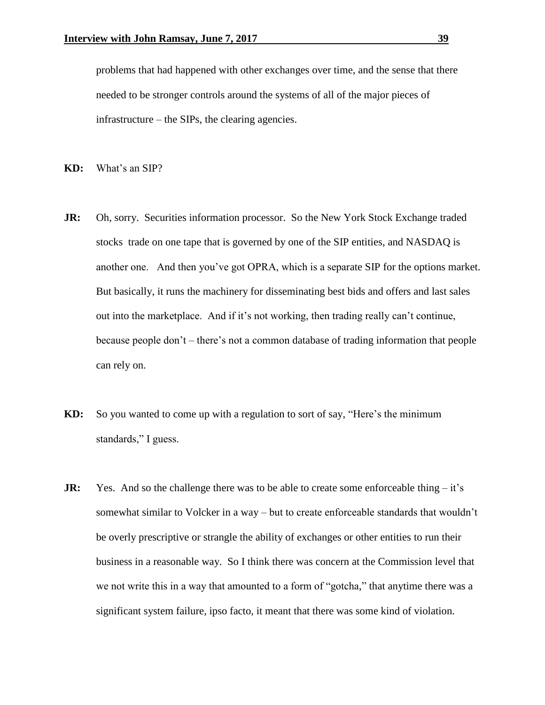problems that had happened with other exchanges over time, and the sense that there needed to be stronger controls around the systems of all of the major pieces of infrastructure – the SIPs, the clearing agencies.

- **KD:** What's an SIP?
- **JR:** Oh, sorry. Securities information processor. So the New York Stock Exchange traded stocks trade on one tape that is governed by one of the SIP entities, and NASDAQ is another one. And then you've got OPRA, which is a separate SIP for the options market. But basically, it runs the machinery for disseminating best bids and offers and last sales out into the marketplace. And if it's not working, then trading really can't continue, because people don't – there's not a common database of trading information that people can rely on.
- **KD:** So you wanted to come up with a regulation to sort of say, "Here's the minimum standards," I guess.
- **JR:** Yes. And so the challenge there was to be able to create some enforceable thing it's somewhat similar to Volcker in a way – but to create enforceable standards that wouldn't be overly prescriptive or strangle the ability of exchanges or other entities to run their business in a reasonable way. So I think there was concern at the Commission level that we not write this in a way that amounted to a form of "gotcha," that anytime there was a significant system failure, ipso facto, it meant that there was some kind of violation.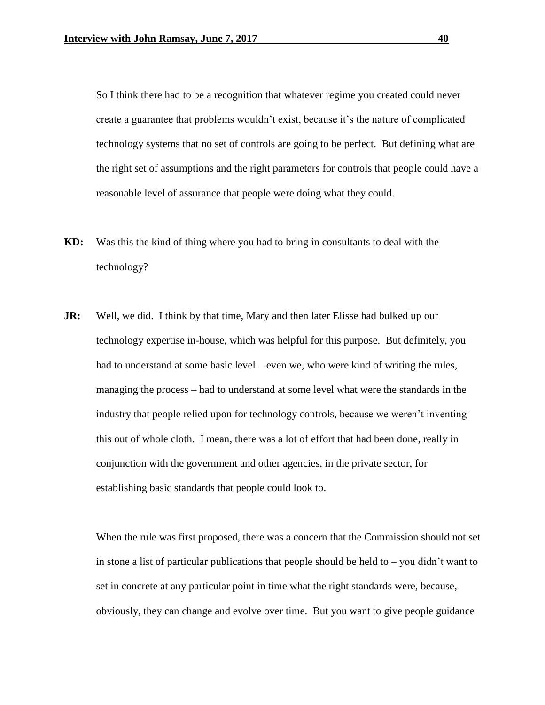So I think there had to be a recognition that whatever regime you created could never create a guarantee that problems wouldn't exist, because it's the nature of complicated technology systems that no set of controls are going to be perfect. But defining what are the right set of assumptions and the right parameters for controls that people could have a reasonable level of assurance that people were doing what they could.

- **KD:** Was this the kind of thing where you had to bring in consultants to deal with the technology?
- **JR:** Well, we did. I think by that time, Mary and then later Elisse had bulked up our technology expertise in-house, which was helpful for this purpose. But definitely, you had to understand at some basic level – even we, who were kind of writing the rules, managing the process – had to understand at some level what were the standards in the industry that people relied upon for technology controls, because we weren't inventing this out of whole cloth. I mean, there was a lot of effort that had been done, really in conjunction with the government and other agencies, in the private sector, for establishing basic standards that people could look to.

When the rule was first proposed, there was a concern that the Commission should not set in stone a list of particular publications that people should be held to  $-$  you didn't want to set in concrete at any particular point in time what the right standards were, because, obviously, they can change and evolve over time. But you want to give people guidance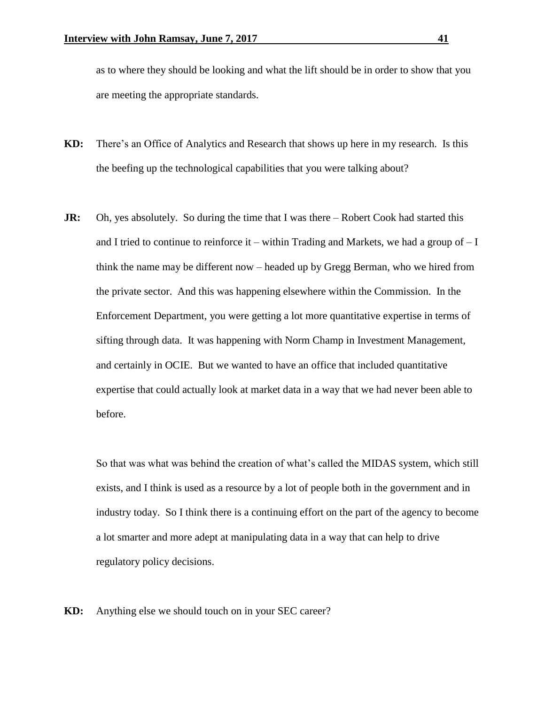as to where they should be looking and what the lift should be in order to show that you are meeting the appropriate standards.

- **KD:** There's an Office of Analytics and Research that shows up here in my research. Is this the beefing up the technological capabilities that you were talking about?
- **JR:** Oh, yes absolutely. So during the time that I was there Robert Cook had started this and I tried to continue to reinforce it – within Trading and Markets, we had a group of  $-I$ think the name may be different now – headed up by Gregg Berman, who we hired from the private sector. And this was happening elsewhere within the Commission. In the Enforcement Department, you were getting a lot more quantitative expertise in terms of sifting through data. It was happening with Norm Champ in Investment Management, and certainly in OCIE. But we wanted to have an office that included quantitative expertise that could actually look at market data in a way that we had never been able to before.

So that was what was behind the creation of what's called the MIDAS system, which still exists, and I think is used as a resource by a lot of people both in the government and in industry today. So I think there is a continuing effort on the part of the agency to become a lot smarter and more adept at manipulating data in a way that can help to drive regulatory policy decisions.

**KD:** Anything else we should touch on in your SEC career?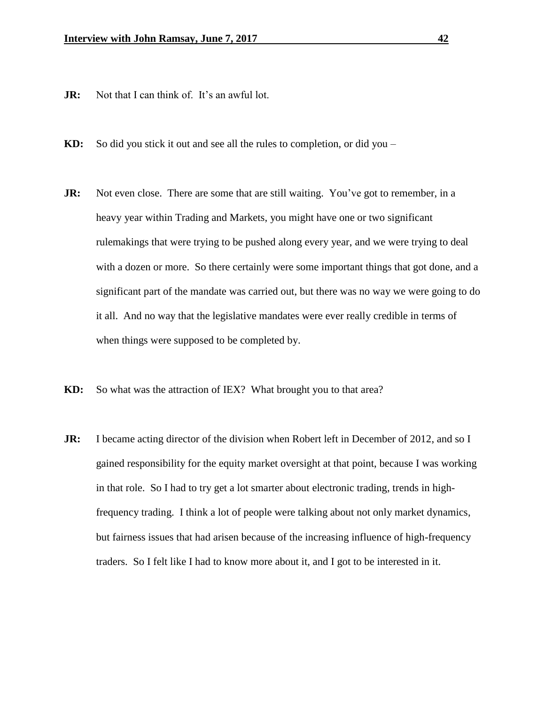- **JR:** Not that I can think of. It's an awful lot.
- **KD:** So did you stick it out and see all the rules to completion, or did you –
- **JR:** Not even close. There are some that are still waiting. You've got to remember, in a heavy year within Trading and Markets, you might have one or two significant rulemakings that were trying to be pushed along every year, and we were trying to deal with a dozen or more. So there certainly were some important things that got done, and a significant part of the mandate was carried out, but there was no way we were going to do it all. And no way that the legislative mandates were ever really credible in terms of when things were supposed to be completed by.
- **KD:** So what was the attraction of IEX? What brought you to that area?
- **JR:** I became acting director of the division when Robert left in December of 2012, and so I gained responsibility for the equity market oversight at that point, because I was working in that role. So I had to try get a lot smarter about electronic trading, trends in highfrequency trading. I think a lot of people were talking about not only market dynamics, but fairness issues that had arisen because of the increasing influence of high-frequency traders. So I felt like I had to know more about it, and I got to be interested in it.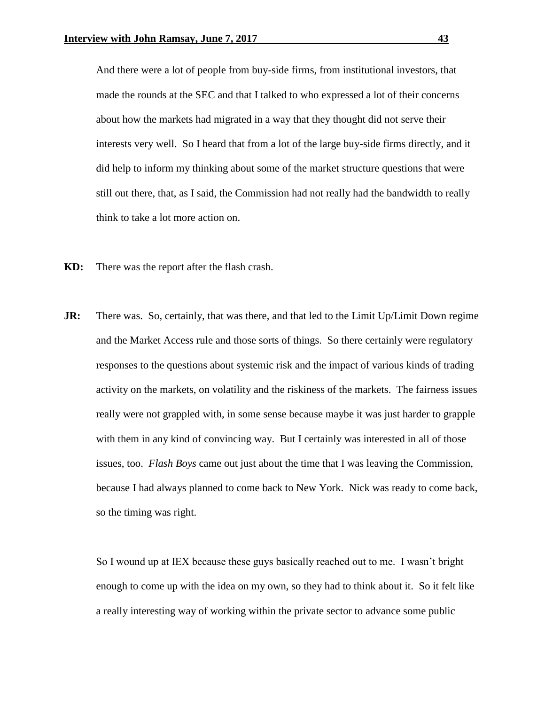And there were a lot of people from buy-side firms, from institutional investors, that made the rounds at the SEC and that I talked to who expressed a lot of their concerns about how the markets had migrated in a way that they thought did not serve their interests very well. So I heard that from a lot of the large buy-side firms directly, and it did help to inform my thinking about some of the market structure questions that were still out there, that, as I said, the Commission had not really had the bandwidth to really think to take a lot more action on.

- **KD:** There was the report after the flash crash.
- **JR:** There was. So, certainly, that was there, and that led to the Limit Up/Limit Down regime and the Market Access rule and those sorts of things. So there certainly were regulatory responses to the questions about systemic risk and the impact of various kinds of trading activity on the markets, on volatility and the riskiness of the markets. The fairness issues really were not grappled with, in some sense because maybe it was just harder to grapple with them in any kind of convincing way. But I certainly was interested in all of those issues, too. *Flash Boys* came out just about the time that I was leaving the Commission, because I had always planned to come back to New York. Nick was ready to come back, so the timing was right.

So I wound up at IEX because these guys basically reached out to me. I wasn't bright enough to come up with the idea on my own, so they had to think about it. So it felt like a really interesting way of working within the private sector to advance some public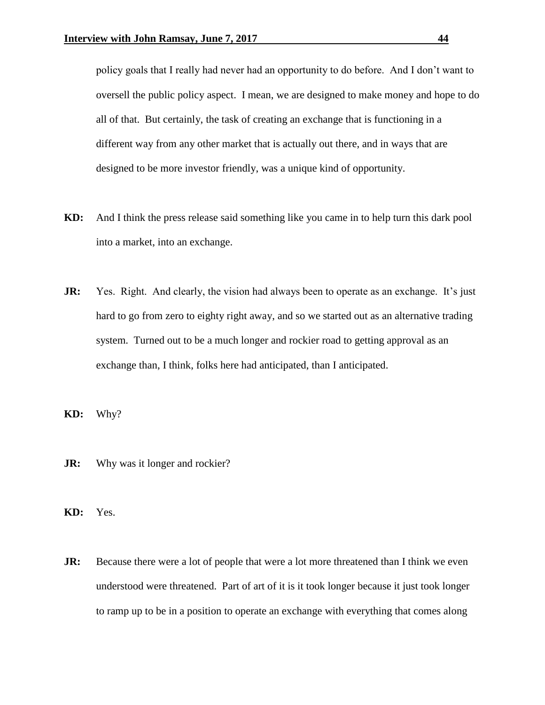policy goals that I really had never had an opportunity to do before. And I don't want to oversell the public policy aspect. I mean, we are designed to make money and hope to do all of that. But certainly, the task of creating an exchange that is functioning in a different way from any other market that is actually out there, and in ways that are designed to be more investor friendly, was a unique kind of opportunity.

- **KD:** And I think the press release said something like you came in to help turn this dark pool into a market, into an exchange.
- **JR:** Yes. Right. And clearly, the vision had always been to operate as an exchange. It's just hard to go from zero to eighty right away, and so we started out as an alternative trading system. Turned out to be a much longer and rockier road to getting approval as an exchange than, I think, folks here had anticipated, than I anticipated.
- **KD:** Why?
- **JR:** Why was it longer and rockier?
- **KD:** Yes.
- **JR:** Because there were a lot of people that were a lot more threatened than I think we even understood were threatened. Part of art of it is it took longer because it just took longer to ramp up to be in a position to operate an exchange with everything that comes along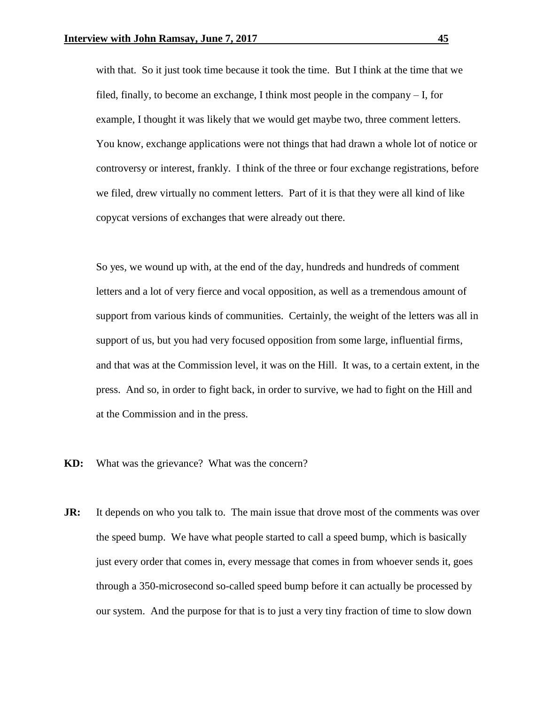with that. So it just took time because it took the time. But I think at the time that we filed, finally, to become an exchange, I think most people in the company – I, for example, I thought it was likely that we would get maybe two, three comment letters. You know, exchange applications were not things that had drawn a whole lot of notice or controversy or interest, frankly. I think of the three or four exchange registrations, before we filed, drew virtually no comment letters. Part of it is that they were all kind of like copycat versions of exchanges that were already out there.

So yes, we wound up with, at the end of the day, hundreds and hundreds of comment letters and a lot of very fierce and vocal opposition, as well as a tremendous amount of support from various kinds of communities. Certainly, the weight of the letters was all in support of us, but you had very focused opposition from some large, influential firms, and that was at the Commission level, it was on the Hill. It was, to a certain extent, in the press. And so, in order to fight back, in order to survive, we had to fight on the Hill and at the Commission and in the press.

- **KD:** What was the grievance? What was the concern?
- **JR:** It depends on who you talk to. The main issue that drove most of the comments was over the speed bump. We have what people started to call a speed bump, which is basically just every order that comes in, every message that comes in from whoever sends it, goes through a 350-microsecond so-called speed bump before it can actually be processed by our system. And the purpose for that is to just a very tiny fraction of time to slow down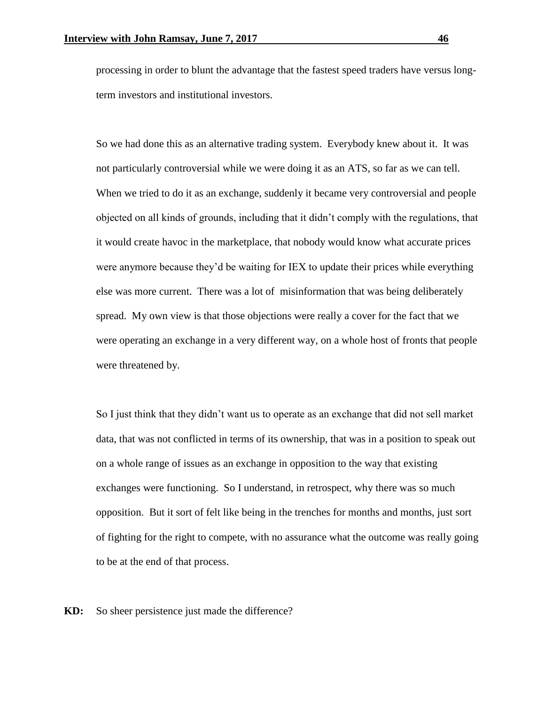processing in order to blunt the advantage that the fastest speed traders have versus longterm investors and institutional investors.

So we had done this as an alternative trading system. Everybody knew about it. It was not particularly controversial while we were doing it as an ATS, so far as we can tell. When we tried to do it as an exchange, suddenly it became very controversial and people objected on all kinds of grounds, including that it didn't comply with the regulations, that it would create havoc in the marketplace, that nobody would know what accurate prices were anymore because they'd be waiting for IEX to update their prices while everything else was more current. There was a lot of misinformation that was being deliberately spread. My own view is that those objections were really a cover for the fact that we were operating an exchange in a very different way, on a whole host of fronts that people were threatened by.

So I just think that they didn't want us to operate as an exchange that did not sell market data, that was not conflicted in terms of its ownership, that was in a position to speak out on a whole range of issues as an exchange in opposition to the way that existing exchanges were functioning. So I understand, in retrospect, why there was so much opposition. But it sort of felt like being in the trenches for months and months, just sort of fighting for the right to compete, with no assurance what the outcome was really going to be at the end of that process.

**KD:** So sheer persistence just made the difference?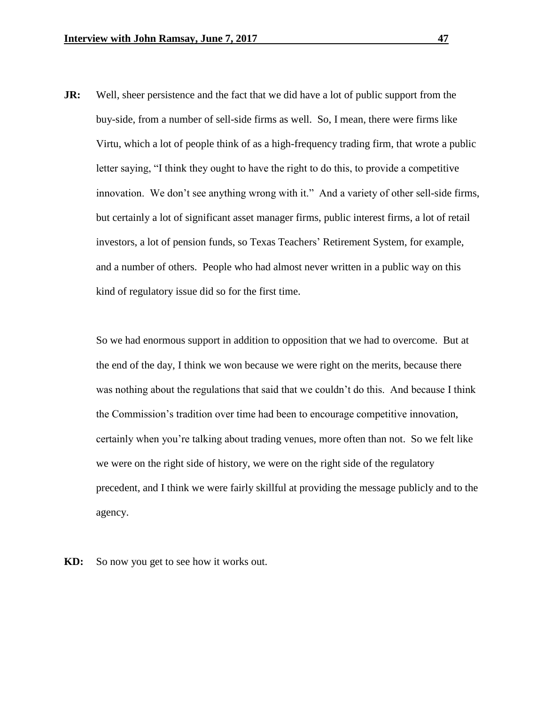**JR:** Well, sheer persistence and the fact that we did have a lot of public support from the buy-side, from a number of sell-side firms as well. So, I mean, there were firms like Virtu, which a lot of people think of as a high-frequency trading firm, that wrote a public letter saying, "I think they ought to have the right to do this, to provide a competitive innovation. We don't see anything wrong with it." And a variety of other sell-side firms, but certainly a lot of significant asset manager firms, public interest firms, a lot of retail investors, a lot of pension funds, so Texas Teachers' Retirement System, for example, and a number of others. People who had almost never written in a public way on this kind of regulatory issue did so for the first time.

So we had enormous support in addition to opposition that we had to overcome. But at the end of the day, I think we won because we were right on the merits, because there was nothing about the regulations that said that we couldn't do this. And because I think the Commission's tradition over time had been to encourage competitive innovation, certainly when you're talking about trading venues, more often than not. So we felt like we were on the right side of history, we were on the right side of the regulatory precedent, and I think we were fairly skillful at providing the message publicly and to the agency.

**KD:** So now you get to see how it works out.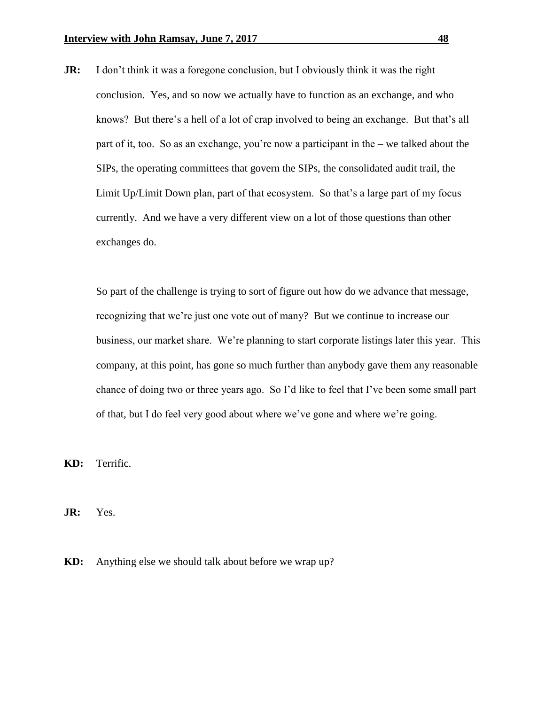**JR:** I don't think it was a foregone conclusion, but I obviously think it was the right conclusion. Yes, and so now we actually have to function as an exchange, and who knows? But there's a hell of a lot of crap involved to being an exchange. But that's all part of it, too. So as an exchange, you're now a participant in the – we talked about the SIPs, the operating committees that govern the SIPs, the consolidated audit trail, the Limit Up/Limit Down plan, part of that ecosystem. So that's a large part of my focus currently. And we have a very different view on a lot of those questions than other exchanges do.

So part of the challenge is trying to sort of figure out how do we advance that message, recognizing that we're just one vote out of many? But we continue to increase our business, our market share. We're planning to start corporate listings later this year. This company, at this point, has gone so much further than anybody gave them any reasonable chance of doing two or three years ago. So I'd like to feel that I've been some small part of that, but I do feel very good about where we've gone and where we're going.

**KD:** Terrific.

**JR:** Yes.

**KD:** Anything else we should talk about before we wrap up?